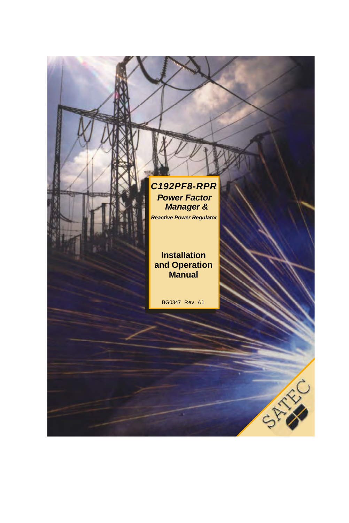### *C192PF8-RPR Power Factor Manager &*

*Reactive Power Regulator*

### **Installation and Operation Manual**

BG0347 Rev. A1

×.

CARINA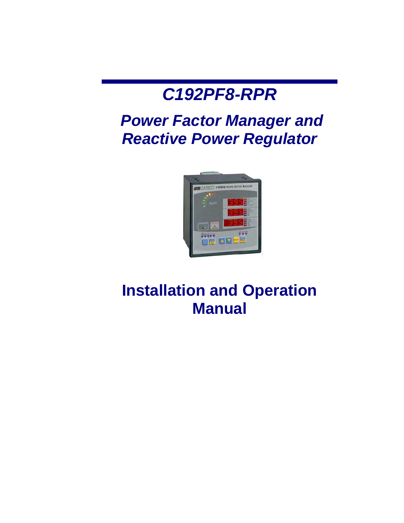# *C192PF8-RPR*

# *Power Factor Manager and Reactive Power Regulator*



# **Installation and Operation Manual**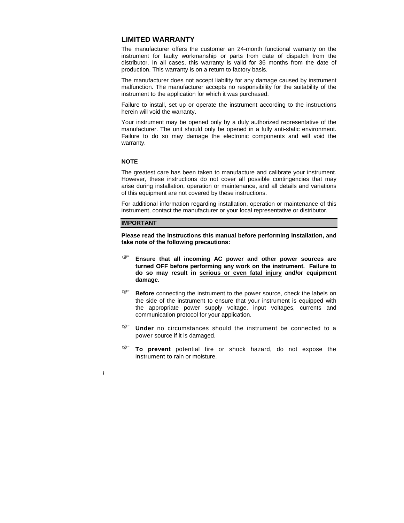### **LIMITED WARRANTY**

The manufacturer offers the customer an 24-month functional warranty on the instrument for faulty workmanship or parts from date of dispatch from the distributor. In all cases, this warranty is valid for 36 months from the date of production. This warranty is on a return to factory basis.

The manufacturer does not accept liability for any damage caused by instrument malfunction. The manufacturer accepts no responsibility for the suitability of the instrument to the application for which it was purchased.

Failure to install, set up or operate the instrument according to the instructions herein will void the warranty.

Your instrument may be opened only by a duly authorized representative of the manufacturer. The unit should only be opened in a fully anti-static environment. Failure to do so may damage the electronic components and will void the warranty.

### **NOTE**

The greatest care has been taken to manufacture and calibrate your instrument. However, these instructions do not cover all possible contingencies that may arise during installation, operation or maintenance, and all details and variations of this equipment are not covered by these instructions.

For additional information regarding installation, operation or maintenance of this instrument, contact the manufacturer or your local representative or distributor.

#### **IMPORTANT**

**Please read the instructions this manual before performing installation, and take note of the following precautions:** 

- ) **Ensure that all incoming AC power and other power sources are turned OFF before performing any work on the instrument. Failure to do so may result in serious or even fatal injury and/or equipment damage.**
- <sup> $F$ **</sup> Before** connecting the instrument to the power source, check the labels on</sup> the side of the instrument to ensure that your instrument is equipped with the appropriate power supply voltage, input voltages, currents and communication protocol for your application.
- ) **Under** no circumstances should the instrument be connected to <sup>a</sup> power source if it is damaged.
- ) **To prevent** potential fire or shock hazard, do not expose the instrument to rain or moisture.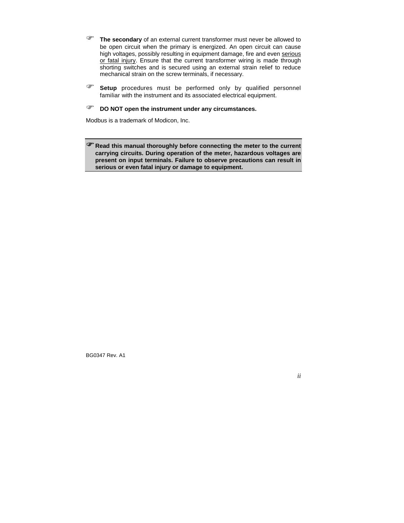- ) **The secondary** of an external current transformer must never be allowed to be open circuit when the primary is energized. An open circuit can cause high voltages, possibly resulting in equipment damage, fire and even serious or fatal injury. Ensure that the current transformer wiring is made through shorting switches and is secured using an external strain relief to reduce mechanical strain on the screw terminals, if necessary.
- ) **Setup** procedures must be performed only by qualified personnel familiar with the instrument and its associated electrical equipment.

### ) **DO NOT open the instrument under any circumstances.**

Modbus is a trademark of Modicon, Inc.

)**Read this manual thoroughly before connecting the meter to the current carrying circuits. During operation of the meter, hazardous voltages are present on input terminals. Failure to observe precautions can result in serious or even fatal injury or damage to equipment.**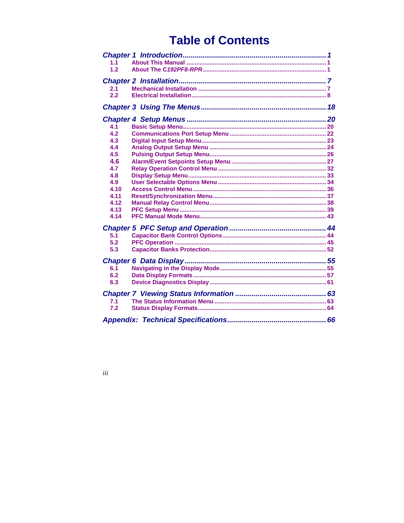## **Table of Contents**

| 1.1              |  |
|------------------|--|
| 1.2 <sub>2</sub> |  |
|                  |  |
|                  |  |
| 2.1              |  |
| 2.2              |  |
|                  |  |
|                  |  |
| 4.1              |  |
| 4.2              |  |
| 4.3              |  |
| 4.4              |  |
| 4.5              |  |
| 4.6              |  |
| 4.7              |  |
| 4.8              |  |
| 4.9              |  |
| 4.10             |  |
| 4.11             |  |
| 4.12             |  |
| 4.13             |  |
| 4.14             |  |
|                  |  |
| 5.1              |  |
| 5.2              |  |
| 5.3              |  |
|                  |  |
| 6.1              |  |
| 6.2              |  |
| 6.3              |  |
|                  |  |
|                  |  |
| 7.1              |  |
| 7.2              |  |
|                  |  |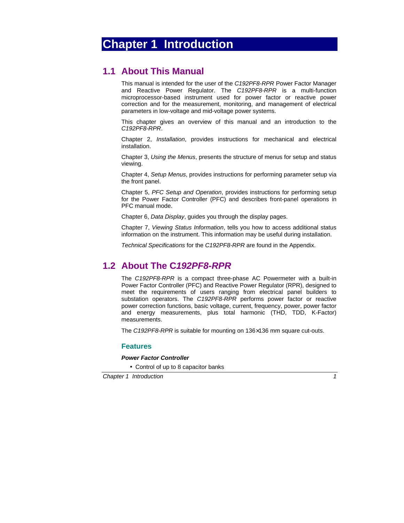## <span id="page-5-0"></span>**Chapter 1 Introduction**

### **1.1 About This Manual**

This manual is intended for the user of the *C192PF8-RPR* Power Factor Manager and Reactive Power Regulator. The *C192PF8-RPR* is a multi-function microprocessor-based instrument used for power factor or reactive power correction and for the measurement, monitoring, and management of electrical parameters in low-voltage and mid-voltage power systems.

This chapter gives an overview of this manual and an introduction to the *C192PF8-RPR*.

Chapter 2, *Installation*, provides instructions for mechanical and electrical installation.

Chapter 3, *Using the Menus*, presents the structure of menus for setup and status viewing.

Chapter 4, *Setup Menus*, provides instructions for performing parameter setup via the front panel.

Chapter 5, *PFC Setup and Operation*, provides instructions for performing setup for the Power Factor Controller (PFC) and describes front-panel operations in PFC manual mode.

Chapter 6, *Data Display*, guides you through the display pages.

Chapter 7, *Viewing Status Information*, tells you how to access additional status information on the instrument. This information may be useful during installation.

*Technical Specifications* for the *C192PF8-RPR* are found in the Appendix.

## **1.2 About The C***192PF8-RPR*

The *C192PF8-RPR* is a compact three-phase AC Powermeter with a built-in Power Factor Controller (PFC) and Reactive Power Regulator (RPR), designed to meet the requirements of users ranging from electrical panel builders to substation operators. The *C192PF8-RPR* performs power factor or reactive power correction functions, basic voltage, current, frequency, power, power factor and energy measurements, plus total harmonic (THD, TDD, K-Factor) measurements.

The *C192PF8-RPR* is suitable for mounting on 136×136 mm square cut-outs.

### **Features**

#### *Power Factor Controller*

• Control of up to 8 capacitor banks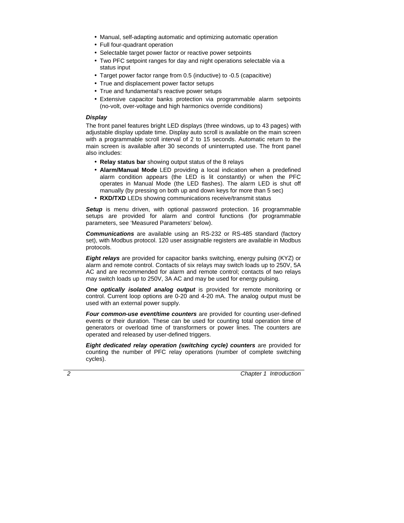- Manual, self-adapting automatic and optimizing automatic operation
- Full four-quadrant operation
- Selectable target power factor or reactive power setpoints
- Two PFC setpoint ranges for day and night operations selectable via a status input
- Target power factor range from 0.5 (inductive) to -0.5 (capacitive)
- True and displacement power factor setups
- True and fundamental's reactive power setups
- Extensive capacitor banks protection via programmable alarm setpoints (no-volt, over-voltage and high harmonics override conditions)

### *Display*

The front panel features bright LED displays (three windows, up to 43 pages) with adjustable display update time. Display auto scroll is available on the main screen with a programmable scroll interval of 2 to 15 seconds. Automatic return to the main screen is available after 30 seconds of uninterrupted use. The front panel also includes:

- **Relay status bar** showing output status of the 8 relays
- **Alarm/Manual Mode** LED providing a local indication when a predefined alarm condition appears (the LED is lit constantly) or when the PFC operates in Manual Mode (the LED flashes). The alarm LED is shut off manually (by pressing on both up and down keys for more than 5 sec)
- **RXD/TXD** LEDs showing communications receive/transmit status

**Setup** is menu driven, with optional password protection. 16 programmable setups are provided for alarm and control functions (for programmable parameters, see 'Measured Parameters' below).

*Communications* are available using an RS-232 or RS-485 standard (factory set), with Modbus protocol. 120 user assignable registers are available in Modbus protocols.

*Eight relays* are provided for capacitor banks switching, energy pulsing (KYZ) or alarm and remote control. Contacts of six relays may switch loads up to 250V, 5A AC and are recommended for alarm and remote control; contacts of two relays may switch loads up to 250V, 3A AC and may be used for energy pulsing.

*One optically isolated analog output* is provided for remote monitoring or control. Current loop options are 0-20 and 4-20 mA. The analog output must be used with an external power supply.

*Four common-use event/time counters* are provided for counting user-defined events or their duration. These can be used for counting total operation time of generators or overload time of transformers or power lines. The counters are operated and released by user-defined triggers.

*Eight dedicated relay operation (switching cycle) counters are provided for* counting the number of PFC relay operations (number of complete switching cycles).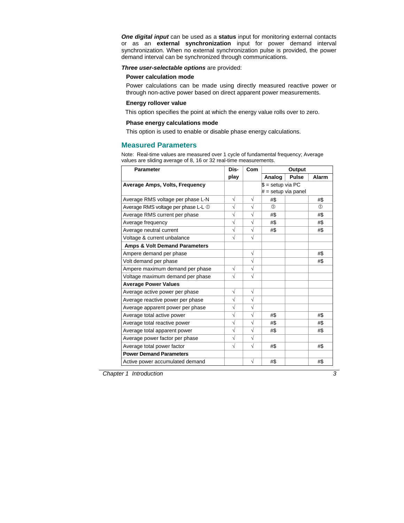*One digital input* can be used as a **status** input for monitoring external contacts or as an **external synchronization** input for power demand interval synchronization. When no external synchronization pulse is provided, the power demand interval can be synchronized through communications.

*Three user-selectable options* are provided:

### **Power calculation mode**

Power calculations can be made using directly measured reactive power or through non-active power based on direct apparent power measurements.

### **Energy rollover value**

This option specifies the point at which the energy value rolls over to zero.

### **Phase energy calculations mode**

This option is used to enable or disable phase energy calculations.

### **Measured Parameters**

Note: Real-time values are measured over 1 cycle of fundamental frequency; Average values are sliding average of 8, 16 or 32 real-time measurements.

| <b>Parameter</b>                         | Dis-       | Com       |                       | Output       |         |
|------------------------------------------|------------|-----------|-----------------------|--------------|---------|
|                                          | play       |           | Analog                | <b>Pulse</b> | Alarm   |
| Average Amps, Volts, Frequency           |            |           | $$ =$ setup via PC    |              |         |
|                                          |            |           | $# =$ setup via panel |              |         |
| Average RMS voltage per phase L-N        | $\sqrt{}$  | $\sqrt{}$ | #\$                   |              | #\$     |
| Average RMS voltage per phase L-L 1      | $\sqrt{}$  | $\sqrt{}$ | $\circ$               |              | $\circ$ |
| Average RMS current per phase            | $\sqrt{}$  | $\sqrt{}$ | #\$                   |              | #\$     |
| Average frequency                        | $\sqrt{}$  | $\sqrt{}$ | #\$                   |              | #\$     |
| Average neutral current                  | $\sqrt{}$  | $\sqrt{}$ | #\$                   |              | #\$     |
| Voltage & current unbalance              | $\sqrt{2}$ | $\sqrt{}$ |                       |              |         |
| <b>Amps &amp; Volt Demand Parameters</b> |            |           |                       |              |         |
| Ampere demand per phase                  |            | $\sqrt{}$ |                       |              | #\$     |
| Volt demand per phase                    |            | √         |                       |              | #\$     |
| Ampere maximum demand per phase          | $\sqrt{}$  | $\sqrt{}$ |                       |              |         |
| Voltage maximum demand per phase         | $\sqrt{}$  | $\sqrt{}$ |                       |              |         |
| <b>Average Power Values</b>              |            |           |                       |              |         |
| Average active power per phase           | $\sqrt{}$  | $\sqrt{}$ |                       |              |         |
| Average reactive power per phase         | $\sqrt{ }$ | $\sqrt{}$ |                       |              |         |
| Average apparent power per phase         | $\sqrt{}$  | $\sqrt{}$ |                       |              |         |
| Average total active power               | $\sqrt{ }$ | $\sqrt{}$ | #\$                   |              | #\$     |
| Average total reactive power             | $\sqrt{}$  | $\sqrt{}$ | #\$                   |              | #\$     |
| Average total apparent power             | $\sqrt{}$  | $\sqrt{}$ | #\$                   |              | #\$     |
| Average power factor per phase           | V          | V         |                       |              |         |
| Average total power factor               | $\sqrt{}$  | $\sqrt{}$ | #\$                   |              | #\$     |
| <b>Power Demand Parameters</b>           |            |           |                       |              |         |
| Active power accumulated demand          |            | $\sqrt{}$ | #\$                   |              | #\$     |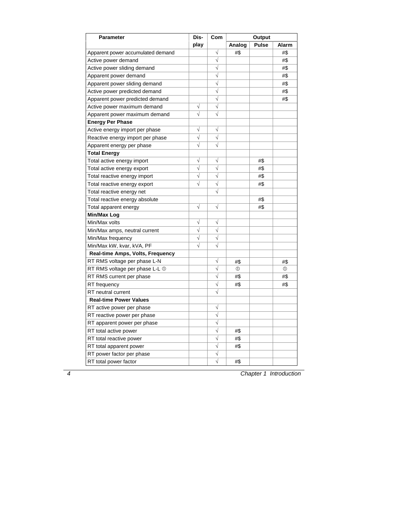| <b>Parameter</b>                        | Dis-       | Com       | Output        |              |              |
|-----------------------------------------|------------|-----------|---------------|--------------|--------------|
|                                         | play       |           | Analog        | <b>Pulse</b> | Alarm        |
| Apparent power accumulated demand       |            | V         | #\$           |              | #\$          |
| Active power demand                     |            | $\sqrt{}$ |               |              | #\$          |
| Active power sliding demand             |            | $\sqrt{}$ |               |              | #\$          |
| Apparent power demand                   |            | $\sqrt{}$ |               |              | #\$          |
| Apparent power sliding demand           |            | $\sqrt{}$ |               |              | #\$          |
| Active power predicted demand           |            | $\sqrt{}$ |               |              | #\$          |
| Apparent power predicted demand         |            | $\sqrt{}$ |               |              | #\$          |
| Active power maximum demand             | $\sqrt{}$  | $\sqrt{}$ |               |              |              |
| Apparent power maximum demand           | $\sqrt{}$  | $\sqrt{}$ |               |              |              |
| <b>Energy Per Phase</b>                 |            |           |               |              |              |
| Active energy import per phase          | $\sqrt{}$  | $\sqrt{}$ |               |              |              |
| Reactive energy import per phase        | $\sqrt{}$  | $\sqrt{}$ |               |              |              |
| Apparent energy per phase               | $\sqrt{}$  | $\sqrt{}$ |               |              |              |
| Total Energy                            |            |           |               |              |              |
| Total active energy import              | $\sqrt{}$  | $\sqrt{}$ |               | #\$          |              |
| Total active energy export              | $\sqrt{}$  | √         |               | #\$          |              |
| Total reactive energy import            | $\sqrt{}$  | $\sqrt{}$ |               | #\$          |              |
| Total reactive energy export            | $\sqrt{}$  | $\sqrt{}$ |               | #\$          |              |
| Total reactive energy net               |            | $\sqrt{}$ |               |              |              |
| Total reactive energy absolute          |            |           |               | #\$          |              |
| Total apparent energy                   | $\sqrt{}$  | $\sqrt{}$ |               | #\$          |              |
| Min/Max Log                             |            |           |               |              |              |
| Min/Max volts                           | $\sqrt{}$  | $\sqrt{}$ |               |              |              |
| Min/Max amps, neutral current           | $\sqrt{}$  | $\sqrt{}$ |               |              |              |
| Min/Max frequency                       | $\sqrt{}$  | $\sqrt{}$ |               |              |              |
| Min/Max kW, kvar, kVA, PF               | $\sqrt{2}$ | $\sqrt{}$ |               |              |              |
| <b>Real-time Amps, Volts, Frequency</b> |            |           |               |              |              |
| RT RMS voltage per phase L-N            |            | $\sqrt{}$ | #\$           |              | #\$          |
| RT RMS voltage per phase L-L ①          |            | $\sqrt{}$ | $\circled{0}$ |              | $^\circledR$ |
| RT RMS current per phase                |            | $\sqrt{}$ | #\$           |              | #\$          |
| RT frequency                            |            | $\sqrt{}$ | #\$           |              | #\$          |
| RT neutral current                      |            | $\sqrt{}$ |               |              |              |
| <b>Real-time Power Values</b>           |            |           |               |              |              |
| RT active power per phase               |            | $\sqrt{}$ |               |              |              |
| RT reactive power per phase             |            | $\sqrt{}$ |               |              |              |
| RT apparent power per phase             |            | $\sqrt{}$ |               |              |              |
| RT total active power                   |            | $\sqrt{}$ | #\$           |              |              |
| RT total reactive power                 |            | $\sqrt{}$ | #\$           |              |              |
| RT total apparent power                 |            | $\sqrt{}$ | #\$           |              |              |
| RT power factor per phase               |            | $\sqrt{}$ |               |              |              |
| RT total power factor                   |            | $\sqrt{}$ | #\$           |              |              |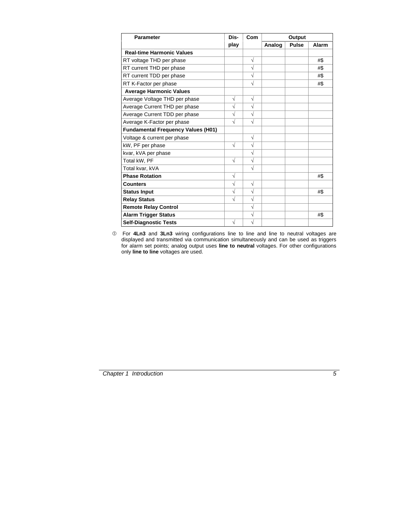| <b>Parameter</b>                          | Dis-       | Com       |        | Output       |       |
|-------------------------------------------|------------|-----------|--------|--------------|-------|
|                                           | play       |           | Analog | <b>Pulse</b> | Alarm |
| <b>Real-time Harmonic Values</b>          |            |           |        |              |       |
| RT voltage THD per phase                  |            | $\sqrt{}$ |        |              | #\$   |
| RT current THD per phase                  |            | V         |        |              | #\$   |
| RT current TDD per phase                  |            | $\sqrt{}$ |        |              | #\$   |
| RT K-Factor per phase                     |            | V         |        |              | #\$   |
| <b>Average Harmonic Values</b>            |            |           |        |              |       |
| Average Voltage THD per phase             | $\sqrt{}$  | $\sqrt{}$ |        |              |       |
| Average Current THD per phase             | $\sqrt{}$  | $\sqrt{}$ |        |              |       |
| Average Current TDD per phase             | $\sqrt{ }$ | $\sqrt{}$ |        |              |       |
| Average K-Factor per phase                | $\sqrt{ }$ | $\sqrt{}$ |        |              |       |
| <b>Fundamental Frequency Values (H01)</b> |            |           |        |              |       |
| Voltage & current per phase               |            | $\sqrt{}$ |        |              |       |
| kW, PF per phase                          | $\sqrt{}$  | $\sqrt{}$ |        |              |       |
| kvar, kVA per phase                       |            | $\sqrt{}$ |        |              |       |
| Total kW, PF                              | $\sqrt{}$  | $\sqrt{}$ |        |              |       |
| Total kvar, kVA                           |            | $\sqrt{}$ |        |              |       |
| <b>Phase Rotation</b>                     | $\sqrt{}$  |           |        |              | #\$   |
| <b>Counters</b>                           | $\sqrt{2}$ | $\sqrt{}$ |        |              |       |
| <b>Status Input</b>                       | $\sqrt{ }$ | $\sqrt{}$ |        |              | #\$   |
| <b>Relay Status</b>                       | $\sqrt{}$  | $\sqrt{}$ |        |              |       |
| <b>Remote Relay Control</b>               |            | $\sqrt{}$ |        |              |       |
| <b>Alarm Trigger Status</b>               |            | √         |        |              | #\$   |
| <b>Self-Diagnostic Tests</b>              | $\sqrt{}$  | √         |        |              |       |

cFor **4Ln3** and **3Ln3** wiring configurations line to line and line to neutral voltages are displayed and transmitted via communication simultaneously and can be used as triggers for alarm set points; analog output uses **line to neutral** voltages. For other configurations only **line to line** voltages are used.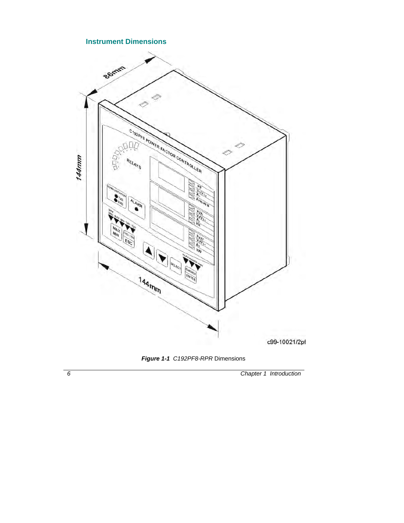### **Instrument Dimensions**



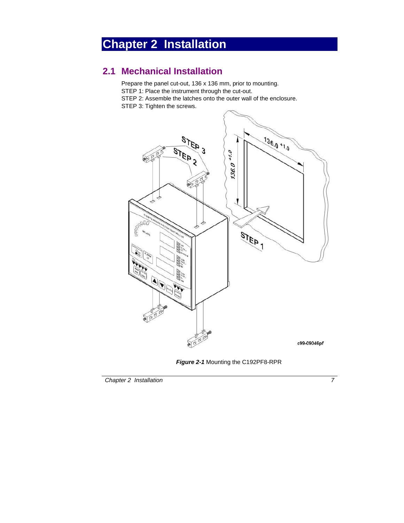## <span id="page-11-0"></span>**Chapter 2 Installation**

## **2.1 Mechanical Installation**

Prepare the panel cut-out, 136 x 136 mm, prior to mounting. STEP 1: Place the instrument through the cut-out. STEP 2: Assemble the latches onto the outer wall of the enclosure. STEP 3: Tighten the screws.



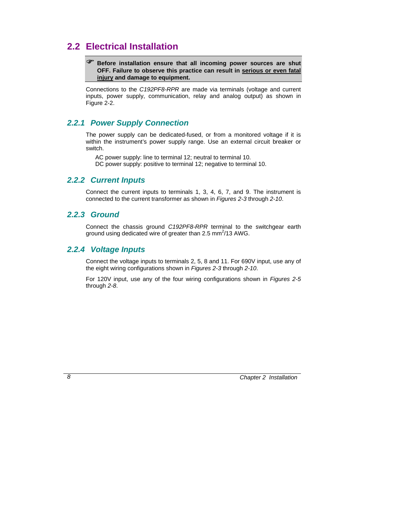## <span id="page-12-0"></span>**2.2 Electrical Installation**

### ) **Before installation ensure that all incoming power sources are shut OFF. Failure to observe this practice can result in serious or even fatal injury and damage to equipment.**

Connections to the *C192PF8-RPR* are made via terminals (voltage and current inputs, power supply, communication, relay and analog output) as shown in Figure 2-2.

### *2.2.1 Power Supply Connection*

The power supply can be dedicated-fused, or from a monitored voltage if it is within the instrument's power supply range. Use an external circuit breaker or switch.

AC power supply: line to terminal 12; neutral to terminal 10.

DC power supply: positive to terminal 12; negative to terminal 10.

### *2.2.2 Current Inputs*

Connect the current inputs to terminals 1, 3, 4, 6, 7, and 9. The instrument is connected to the current transformer as shown in *Figures 2-3* through *2-10*.

### *2.2.3 Ground*

Connect the chassis ground *C192PF8-RPR* terminal to the switchgear earth ground using dedicated wire of greater than 2.5 mm $^2$ /13 AWG.

### *2.2.4 Voltage Inputs*

Connect the voltage inputs to terminals 2, 5, 8 and 11. For 690V input, use any of the eight wiring configurations shown in *Figures 2-3* through *2-10*.

For 120V input, use any of the four wiring configurations shown in *Figures 2-5* through *2-8*.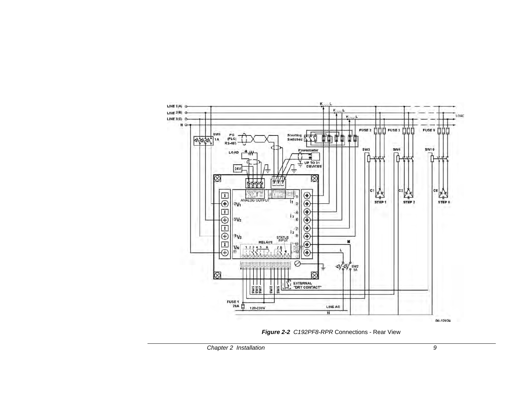

*Figure 2-2 C192PF8-RPR* Connections - Rear View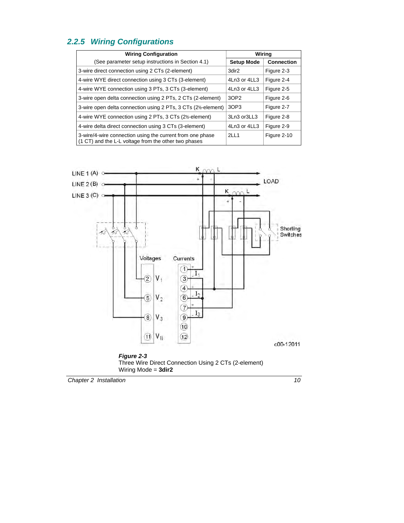## *2.2.5 Wiring Configurations*

| <b>Wiring Configuration</b>                                                                                       |                   | Wiring            |
|-------------------------------------------------------------------------------------------------------------------|-------------------|-------------------|
| (See parameter setup instructions in Section 4.1)                                                                 | <b>Setup Mode</b> | <b>Connection</b> |
| 3-wire direct connection using 2 CTs (2-element)                                                                  | 3dir2             | Figure 2-3        |
| 4-wire WYE direct connection using 3 CTs (3-element)                                                              | 4Ln3 or 4LL3      | Figure 2-4        |
| 4-wire WYE connection using 3 PTs, 3 CTs (3-element)                                                              | 4Ln3 or 4LL3      | Figure 2-5        |
| 3-wire open delta connection using 2 PTs, 2 CTs (2-element)                                                       | 3OP2              | Figure 2-6        |
| 3-wire open delta connection using 2 PTs, 3 CTs (2½-element)                                                      | 3OP3              | Figure 2-7        |
| 4-wire WYE connection using 2 PTs, 3 CTs (2½-element)                                                             | 3Ln3 or3LL3       | Figure 2-8        |
| 4-wire delta direct connection using 3 CTs (3-element)                                                            | 4Ln3 or 4LL3      | Figure 2-9        |
| 3-wire/4-wire connection using the current from one phase<br>(1 CT) and the L-L voltage from the other two phases | 2LL1              | Figure 2-10       |



*Figure 2-3*  Three Wire Direct Connection Using 2 CTs (2-element) Wiring Mode = **3dir2** 

**Chapter 2** Installation 10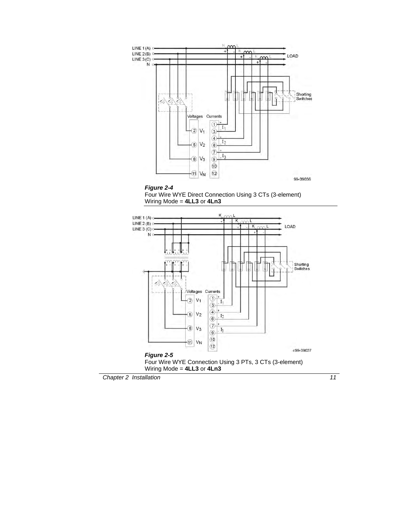

### *Figure 2-4*



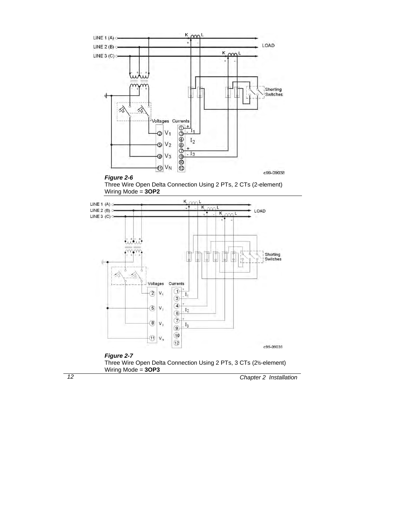

#### *Figure 2-6*

Three Wire Open Delta Connection Using 2 PTs, 2 CTs (2-element) Wiring Mode = **3OP2**



### *Figure 2-7*

Three Wire Open Delta Connection Using 2 PTs, 3 CTs (2½-element) Wiring Mode = **3OP3**

*12 Chapter 2 Installation*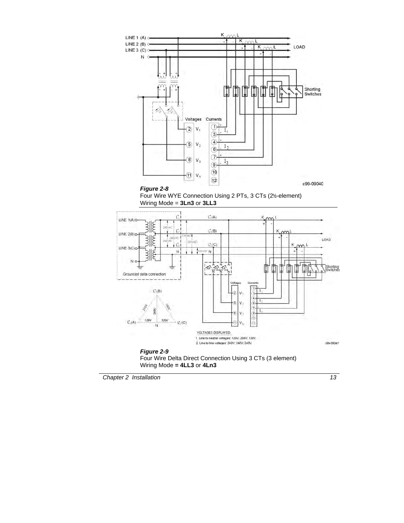



### *Figure 2-9*  Four Wire Delta Direct Connection Using 3 CTs (3 element) Wiring Mode **= 4LL3** or **4Ln3**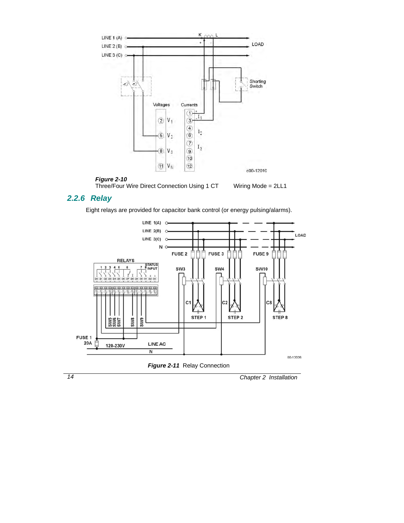





### *2.2.6 Relay*

Eight relays are provided for capacitor bank control (or energy pulsing/alarms).



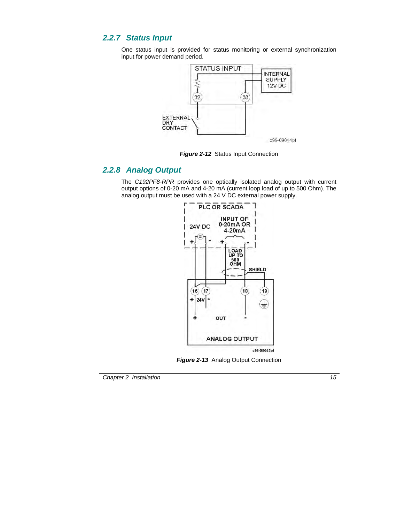### *2.2.7 Status Input*

One status input is provided for status monitoring or external synchronization input for power demand period.



**Figure 2-12 Status Input Connection** 

### *2.2.8 Analog Output*

The *C192PF8-RPR* provides one optically isolated analog output with current output options of 0-20 mA and 4-20 mA (current loop load of up to 500 Ohm). The analog output must be used with a 24 V DC external power supply.



**Figure 2-13** Analog Output Connection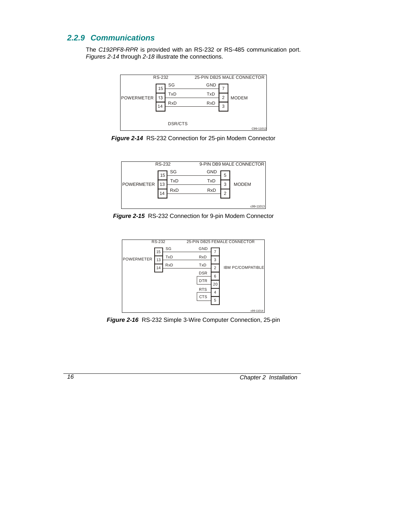### *2.2.9 Communications*

The *C192PF8-RPR* is provided with an RS-232 or RS-485 communication port. *Figures 2-14* through *2-18* illustrate the connections.



*Figure 2-14* RS-232 Connection for 25-pin Modem Connector



*Figure 2-15* RS-232 Connection for 9-pin Modem Connector



*Figure 2-16* RS-232 Simple 3-Wire Computer Connection, 25-pin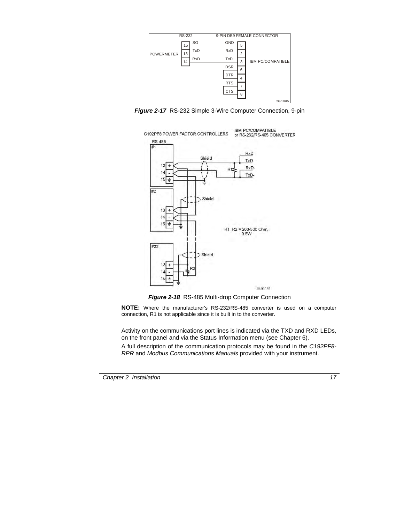

*Figure 2-17* RS-232 Simple 3-Wire Computer Connection, 9-pin



*Figure 2-18* RS-485 Multi-drop Computer Connection

**NOTE:** Where the manufacturer's RS-232/RS-485 converter is used on a computer connection, R1 is not applicable since it is built in to the converter.

Activity on the communications port lines is indicated via the TXD and RXD LEDs, on the front panel and via the Status Information menu (see Chapter 6).

A full description of the communication protocols may be found in the *C192PF8- RPR* and *Modbus Communications Manuals* provided with your instrument.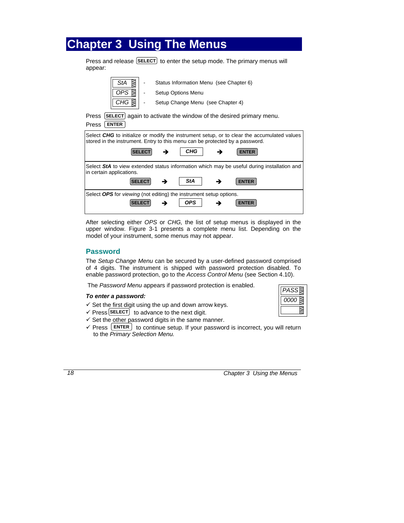## <span id="page-22-0"></span>**Chapter 3 Using The Menus**

 $\equiv$ 

 $\overline{r}$ 

Press and release **SELECT** to enter the setup mode. The primary menus will appear:

| ⊠<br>StA                                                                                                                                                                                                            |               |                    | Status Information Menu (see Chapter 6) |  |                                                                    |
|---------------------------------------------------------------------------------------------------------------------------------------------------------------------------------------------------------------------|---------------|--------------------|-----------------------------------------|--|--------------------------------------------------------------------|
| OPS ≹                                                                                                                                                                                                               |               | Setup Options Menu |                                         |  |                                                                    |
| CHG                                                                                                                                                                                                                 |               |                    | Setup Change Menu (see Chapter 4)       |  |                                                                    |
| Press<br><b>ENTER</b><br>Press                                                                                                                                                                                      |               |                    |                                         |  | [SELECT] again to activate the window of the desired primary menu. |
| Select CHG to initialize or modify the instrument setup, or to clear the accumulated values<br>stored in the instrument. Entry to this menu can be protected by a password.<br>CHG<br><b>ENTER</b><br><b>SELECT</b> |               |                    |                                         |  |                                                                    |
| Select StA to view extended status information which may be useful during installation and<br>in certain applications.                                                                                              |               |                    |                                         |  |                                                                    |
|                                                                                                                                                                                                                     | <b>SELECT</b> |                    | StA                                     |  | <b>ENTER</b>                                                       |
| Select OPS for viewing (not editing) the instrument setup options.                                                                                                                                                  |               |                    |                                         |  |                                                                    |
| <b>SELECT</b>                                                                                                                                                                                                       |               |                    | OPS.                                    |  | <b>ENTER</b>                                                       |

After selecting either *OPS* or *CHG,* the list of setup menus is displayed in the upper window. Figure 3-1 presents a complete menu list. Depending on the model of your instrument, some menus may not appear.

### **Password**

The *Setup Change Menu* can be secured by a user-defined password comprised of 4 digits. The instrument is shipped with password protection disabled. To enable password protection, go to the *Access Control Menu* (see Section 4.10).

The *Password Menu* appears if password protection is enabled.

### *To enter a password:*

- $\checkmark$  Set the first digit using the up and down arrow keys.
- $\checkmark$  Press **SELECT** to advance to the next digit.
- $\checkmark$  Set the other password digits in the same manner.
- $\checkmark$  Press  $\text{ENTER}$  to continue setup. If your password is incorrect, you will return to the *Primary Selection Menu.*

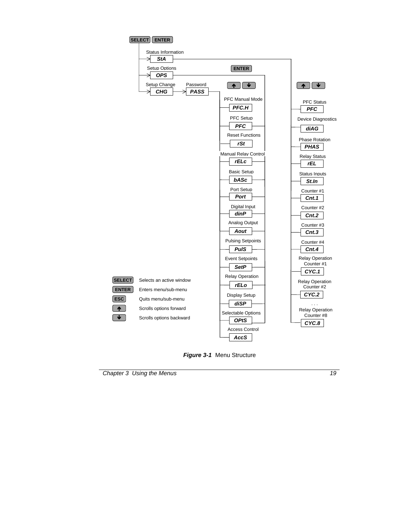

*Figure 3-1* Menu Structure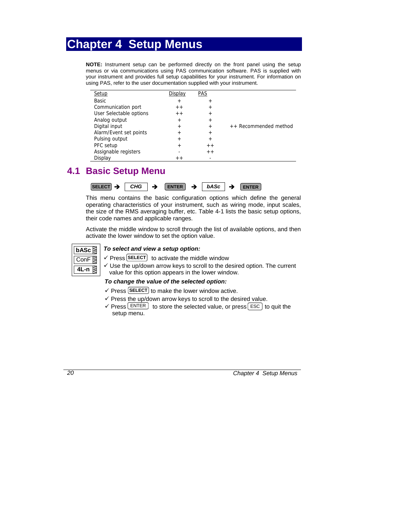## <span id="page-24-0"></span>**Chapter 4 Setup Menus**

**NOTE:** Instrument setup can be performed directly on the front panel using the setup menus or via communications using PAS communication software. PAS is supplied with your instrument and provides full setup capabilities for your instrument. For information on using PAS, refer to the user documentation supplied with your instrument.

| Setup                   | Display                  | <b>PAS</b>      |                       |
|-------------------------|--------------------------|-----------------|-----------------------|
| Basic                   | $\ddot{}$                | $^{\mathrm{+}}$ |                       |
| Communication port      | $+ +$                    | $^{+}$          |                       |
| User Selectable options | $+ +$                    | $^{+}$          |                       |
| Analog output           | $\ddot{}$                | $\overline{+}$  |                       |
| Digital input           | $^{+}$                   | $^{+}$          | ++ Recommended method |
| Alarm/Event set points  | $+$                      | $^{+}$          |                       |
| Pulsing output          | $+$                      | $^{+}$          |                       |
| PFC setup               | $^{+}$                   | $+ +$           |                       |
| Assignable registers    | $\overline{\phantom{0}}$ | $+ +$           |                       |
| Display                 | $+ +$                    |                 |                       |

## **4.1 Basic Setup Menu**

| $SELECT \rightarrow$ | <b>CHG</b> | ▲ | <b>FNTER</b> | $\rightarrow$ | <b>bASc</b> | - | <b>FNTFR</b> |
|----------------------|------------|---|--------------|---------------|-------------|---|--------------|
|----------------------|------------|---|--------------|---------------|-------------|---|--------------|

This menu contains the basic configuration options which define the general operating characteristics of your instrument, such as wiring mode, input scales, the size of the RMS averaging buffer, etc. Table 4-1 lists the basic setup options, their code names and applicable ranges.

Activate the middle window to scroll through the list of available options, and then activate the lower window to set the option value.



### *To select and view a setup option:*

- $\checkmark$  Press **SELECT** to activate the middle window
- $\checkmark$  Use the up/down arrow keys to scroll to the desired option. The current value for this option appears in the lower window.

### *To change the value of the selected option:*

- $\checkmark$  Press **SELECT** to make the lower window active.
- $\checkmark$  Press the up/down arrow keys to scroll to the desired value.
- $\checkmark$  Press ENTER to store the selected value, or press ESC to quit the setup menu.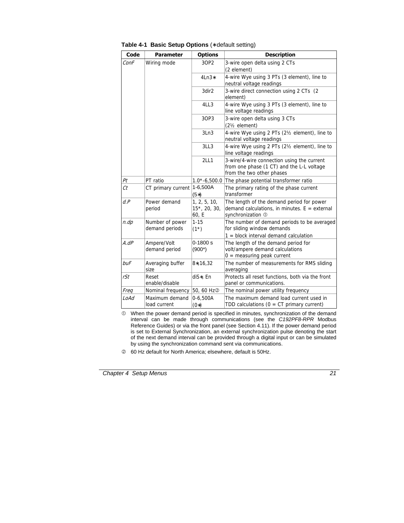| Code        | <b>Parameter</b>                  | <b>Options</b>                        | <b>Description</b>                                                                                                   |  |
|-------------|-----------------------------------|---------------------------------------|----------------------------------------------------------------------------------------------------------------------|--|
| ConF        | Wiring mode                       | 3OP2                                  | 3-wire open delta using 2 CTs<br>(2 element)                                                                         |  |
|             |                                   | $4Ln3*$                               | 4-wire Wye using 3 PTs (3 element), line to<br>neutral voltage readings                                              |  |
|             |                                   | 3dir2                                 | 3-wire direct connection using 2 CTs (2)<br>element)                                                                 |  |
|             |                                   | 4LL3                                  | 4-wire Wye using 3 PTs (3 element), line to<br>line voltage readings                                                 |  |
|             |                                   | 3OP3                                  | 3-wire open delta using 3 CTs<br>(21/ <sub>2</sub> element)                                                          |  |
|             |                                   | 3Ln3                                  | 4-wire Wye using 2 PTs (21/2 element), line to<br>neutral voltage readings                                           |  |
|             |                                   | 3LL3                                  | 4-wire Wye using 2 PTs (21/2 element), line to<br>line voltage readings                                              |  |
|             |                                   | <b>2LL1</b>                           | 3-wire/4-wire connection using the current<br>from one phase (1 CT) and the L-L voltage<br>from the two other phases |  |
| Pt          | PT ratio                          | $1.0* -6,500.0$                       | The phase potential transformer ratio                                                                                |  |
| Ct          | CT primary current                | 1-6,500A<br>$(5*)$                    | The primary rating of the phase current<br>transformer                                                               |  |
| d.P         | Power demand<br>period            | 1, 2, 5, 10,<br>15*, 20, 30,<br>60, E | The length of the demand period for power<br>demand calculations, in minutes. $E =$ external<br>synchronization 1    |  |
| n.dp        | Number of power<br>demand periods | $1 - 15$<br>$(1^*)$                   | The number of demand periods to be averaged<br>for sliding window demands<br>$1 =$ block interval demand calculation |  |
| $A$ . d $P$ | Ampere/Volt<br>demand period      | $0-1800 s$<br>$(900*)$                | The length of the demand period for<br>volt/ampere demand calculations<br>$0 =$ measuring peak current               |  |
| buF         | Averaging buffer<br>size          | $8*, 16, 32$                          | The number of measurements for RMS sliding<br>averaging                                                              |  |
| rSt         | Reset<br>enable/disable           | diS*, En                              | Protects all reset functions, both via the front<br>panel or communications.                                         |  |
| Freq        | Nominal frequency                 | 50, 60 Hz <sup>②</sup>                | The nominal power utility frequency                                                                                  |  |
| LoAd        | Maximum demand<br>load current    | $0-6,500A$<br>$(0*)$                  | The maximum demand load current used in<br>TDD calculations ( $0 = CT$ primary current)                              |  |

**Table 4-1 Basic Setup Options** (∗ default setting)

 $<sup>0</sup>$  When the power demand period is specified in minutes, synchronization of the demand</sup> interval can be made through communications (see the *C192PF8-RPR* Modbus Reference Guides) or via the front panel (see Section 4.11). If the power demand period is set to External Synchronization, an external synchronization pulse denoting the start of the next demand interval can be provided through a digital input or can be simulated by using the synchronization command sent via communications.

d 60 Hz default for North America; elsewhere, default is 50Hz.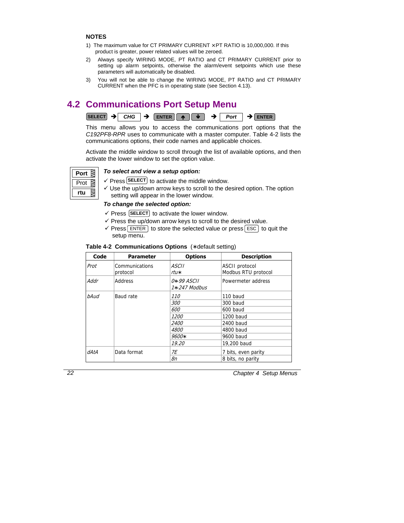### <span id="page-26-0"></span>**NOTES**

- 1) The maximum value for CT PRIMARY CURRENT × PT RATIO is 10,000,000. If this product is greater, power related values will be zeroed.
- 2) Always specify WIRING MODE, PT RATIO and CT PRIMARY CURRENT prior to setting up alarm setpoints, otherwise the alarm/event setpoints which use these parameters will automatically be disabled.
- 3) You will not be able to change the WIRING MODE, PT RATIO and CT PRIMARY CURRENT when the PFC is in operating state (see Section 4.13).

## **4.2 Communications Port Setup Menu**



This menu allows you to access the communications port options that the *C192PF8-RPR* uses to communicate with a master computer. Table 4-2 lists the communications options, their code names and applicable choices.

Activate the middle window to scroll through the list of available options, and then activate the lower window to set the option value.

| ort |  |
|-----|--|
| οt  |  |
| rtu |  |

### *To select and view a setup option:*

- $\checkmark$  Press **SELECT** to activate the middle window.
- $\checkmark$  Use the up/down arrow keys to scroll to the desired option. The option setting will appear in the lower window.

### *To change the selected option:*

- $\checkmark$  Press **SELECT** to activate the lower window.
- $\checkmark$  Press the up/down arrow keys to scroll to the desired value.
- $\checkmark$  Press [ENTER] to store the selected value or press [ESC] to quit the setup menu.

| Code | <b>Parameter</b>           | <b>Options</b>                   | <b>Description</b>                    |
|------|----------------------------|----------------------------------|---------------------------------------|
| Prot | Communications<br>protocol | ASCII<br>rtu*                    | ASCII protocol<br>Modbus RTU protocol |
| Addr | Address                    | $0* - 99$ ASCII<br>1*-247 Modbus | Powermeter address                    |
| bAud | Baud rate                  | 110                              | 110 baud                              |
|      |                            | 300                              | 300 baud                              |
|      |                            | 600                              | 600 baud                              |
|      |                            | <i>1200</i>                      | 1200 baud                             |
|      |                            | <i>2400</i>                      | 2400 baud                             |
|      |                            | 4800                             | 4800 baud                             |
|      |                            | 9600*                            | 9600 baud                             |
|      |                            | 19.20                            | 19,200 baud                           |
| dAtA | Data format                | 7E                               | 7 bits, even parity                   |
|      |                            | 8n                               | 8 bits, no parity                     |

### **Table 4-2 Communications Options** (∗ default setting)

*22 Chapter 4 Setup Menus*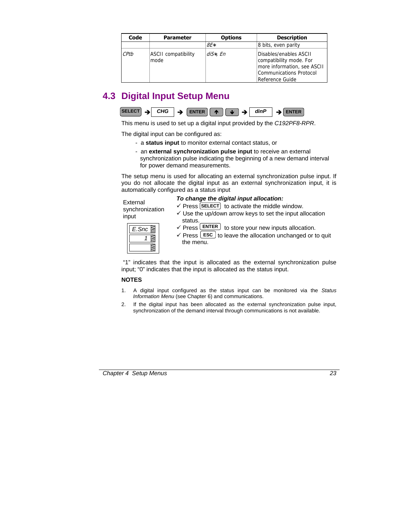<span id="page-27-0"></span>

| Code | <b>Parameter</b>                   | <b>Options</b> | <b>Description</b>                                                                                                             |
|------|------------------------------------|----------------|--------------------------------------------------------------------------------------------------------------------------------|
|      |                                    | $8F*$          | 8 bits, even parity                                                                                                            |
| CPtb | <b>ASCII</b> compatibility<br>mode | $diS*$ , En    | Disables/enables ASCII<br>compatibility mode. For<br>more information, see ASCII<br>Communications Protocol<br>Reference Guide |

## **4.3 Digital Input Setup Menu**



This menu is used to set up a digital input provided by the *C192PF8-RPR*.

The digital input can be configured as:

- a **status input** to monitor external contact status, or
- an **external synchronization pulse input** to receive an external synchronization pulse indicating the beginning of a new demand interval for power demand measurements.

The setup menu is used for allocating an external synchronization pulse input. If you do not allocate the digital input as an external synchronization input, it is automatically configured as a status input

### External synchronization input

### *To change the digital input allocation:*

 $\checkmark$  Press **SELECT** to activate the middle window.

 $\checkmark$  Use the up/down arrow keys to set the input allocation status.

| snc<br>- |  |
|----------|--|
|          |  |
|          |  |

- $\checkmark$  Press **ENTER** to store your new inputs allocation.
- $\checkmark$  Press  $\textsf{LSC}$  to leave the allocation unchanged or to quit the menu.

 "1" indicates that the input is allocated as the external synchronization pulse input; "0" indicates that the input is allocated as the status input.

### **NOTES**

- 1. A digital input configured as the status input can be monitored via the *Status Information Menu* (see Chapter 6) and communications.
- 2. If the digital input has been allocated as the external synchronization pulse input, synchronization of the demand interval through communications is not available.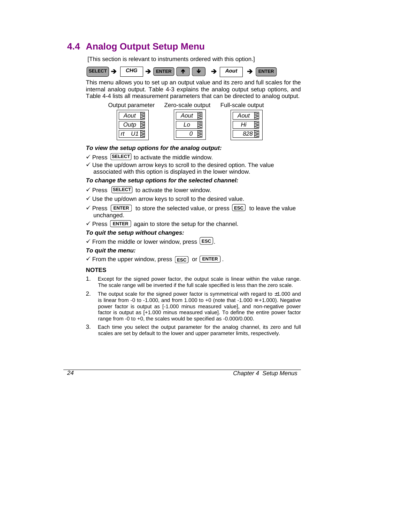## <span id="page-28-0"></span>**4.4 Analog Output Setup Menu**

[This section is relevant to instruments ordered with this option.]



This menu allows you to set up an output value and its zero and full scales for the internal analog output. Table 4-3 explains the analog output setup options, and Table 4-4 lists all measurement parameters that can be directed to analog output.

Output parameter Zero-scale output Full-scale output

| out |  |
|-----|--|
| utp |  |
|     |  |

| Aout |  |
|------|--|
|      |  |
|      |  |

| Aout |  |
|------|--|
| Ηı   |  |
| 2.   |  |

### *To view the setup options for the analog output:*

- $\checkmark$  Press **SELECT** to activate the middle window.
- $\checkmark$  Use the up/down arrow keys to scroll to the desired option. The value associated with this option is displayed in the lower window.

### *To change the setup options for the selected channel:*

- $\checkmark$  Press **SELECT** to activate the lower window.
- $\checkmark$  Use the up/down arrow keys to scroll to the desired value.
- $\sqrt{P}$  Press  $\boxed{\text{ENTER}}$  to store the selected value, or press  $\boxed{\text{esc}}$  to leave the value unchanged.
- $\checkmark$  Press **ENTER** again to store the setup for the channel.

### *To quit the setup without changes:*

 $\checkmark$  From the middle or lower window, press  $\textsf{LSC}$ .

### *To quit the menu:*

 $\checkmark$  From the upper window, press  $\begin{bmatrix} \text{esc} \end{bmatrix}$  or  $\begin{bmatrix} \text{ENTER} \end{bmatrix}$ .

### **NOTES**

- 1. Except for the signed power factor, the output scale is linear within the value range. The scale range will be inverted if the full scale specified is less than the zero scale.
- 2. The output scale for the signed power factor is symmetrical with regard to  $\pm 1.000$  and is linear from -0 to -1.000, and from 1.000 to +0 (note that -1.000  $\equiv$  +1.000). Negative power factor is output as [-1.000 minus measured value], and non-negative power factor is output as [+1.000 minus measured value]. To define the entire power factor range from -0 to +0, the scales would be specified as -0.000/0.000.
- 3. Each time you select the output parameter for the analog channel, its zero and full scales are set by default to the lower and upper parameter limits, respectively.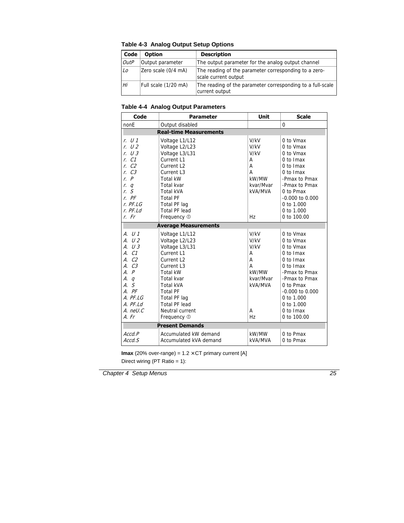| Code        | <b>Option</b>        | <b>Description</b>                                                            |
|-------------|----------------------|-------------------------------------------------------------------------------|
| <b>OutP</b> | Output parameter     | The output parameter for the analog output channel                            |
| Lo          | Zero scale (0/4 mA)  | The reading of the parameter corresponding to a zero-<br>scale current output |
| Hi          | Full scale (1/20 mA) | The reading of the parameter corresponding to a full-scale<br>current output  |

**Table 4-3 Analog Output Setup Options** 

### **Table 4-4 Analog Output Parameters**

| Code                          | <b>Parameter</b>            | <b>Unit</b> | <b>Scale</b>        |  |
|-------------------------------|-----------------------------|-------------|---------------------|--|
| nonE                          | Output disabled             |             | $\Omega$            |  |
| <b>Real-time Measurements</b> |                             |             |                     |  |
| r. U1                         | Voltage L1/L12              | V/kV        | 0 to Vmax           |  |
| r. U2                         | Voltage L2/L23              | V/kV        | 0 to Vmax           |  |
| r. U3                         | Voltage L3/L31              | V/kV        | 0 to Vmax           |  |
| $r$ $C1$                      | Current L1                  | А           | $0$ to $Imax$       |  |
| C <sub>2</sub><br>r.          | Current L <sub>2</sub>      | Α           | 0 to Imax           |  |
| C <sub>3</sub><br>r.          | Current L3                  | А           | $0$ to $Imax$       |  |
| r P                           | <b>Total kW</b>             | kW/MW       | -Pmax to Pmax       |  |
| q<br>r.                       | Total kvar                  | kvar/Mvar   | -Pmax to Pmax       |  |
| S<br>r.                       | <b>Total kVA</b>            | kVA/MVA     | 0 to Pmax           |  |
| $r.$ $PF$                     | <b>Total PF</b>             |             | $-0.000$ to $0.000$ |  |
| $r.$ PF.LG                    | Total PF lag                |             | 0 to 1.000          |  |
| $r.$ PF.Ld                    | Total PF lead               |             | 0 to 1.000          |  |
| $r.$ Fr                       | Frequency 1                 | Hz          | 0 to 100.00         |  |
|                               | <b>Average Measurements</b> |             |                     |  |
| A. U1                         | Voltage L1/L12              | V/kV        | 0 to Vmax           |  |
| A. U2                         | Voltage L2/L23              | V/kV        | 0 to Vmax           |  |
| A. U3                         | Voltage L3/L31              | V/kV        | 0 to Vmax           |  |
| A. C1                         | Current L1                  | А           | $0$ to $Imax$       |  |
| A. C <sub>2</sub>             | Current L <sub>2</sub>      | A           | $0$ to $lmax$       |  |
| A. C3                         | Current L <sub>3</sub>      | А           | $0$ to $lmax$       |  |
| A. P                          | <b>Total kW</b>             | kW/MW       | -Pmax to Pmax       |  |
| A. q                          | Total kvar                  | kvar/Mvar   | -Pmax to Pmax       |  |
| A. S                          | <b>Total kVA</b>            | kVA/MVA     | 0 to Pmax           |  |
| A. PF                         | <b>Total PF</b>             |             | $-0.000$ to $0.000$ |  |
| $A.$ PF.LG                    | Total PF lag                |             | 0 to $1.000$        |  |
| $A.$ PF.Ld                    | Total PF lead               |             | 0 to 1.000          |  |
| A. neU.C                      | Neutral current             | A           | 0 to Imax           |  |
| A. Fr                         | Frequency 1                 | Hz          | 0 to 100.00         |  |
|                               | <b>Present Demands</b>      |             |                     |  |
| Accd.P                        | Accumulated kW demand       | kW/MW       | 0 to Pmax           |  |
| Accd.S                        | Accumulated kVA demand      | kVA/MVA     | 0 to Pmax           |  |

**Imax** (20% over-range) =  $1.2 \times CT$  primary current [A]

Direct wiring (PT Ratio = 1):

*Chapter 4 Setup Menus 25*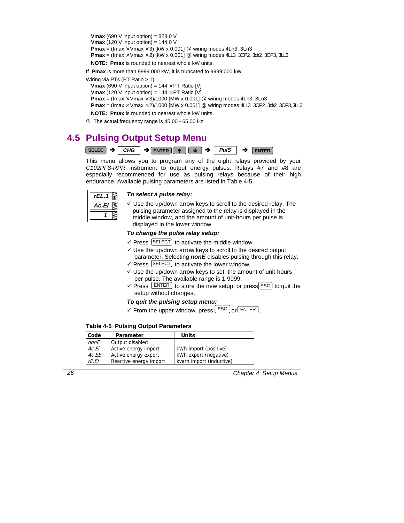<span id="page-30-0"></span>**Vmax** (690 V input option) =  $828.0$  V **Vmax** (120 V input option) = 144.0 V **Pmax** = (Imax  $\times$  Vmax  $\times$  3) [kW x 0.001] @ wiring modes 4Ln3, 3Ln3 **Pmax** = (Imax  $\times$  Vmax  $\times$  2) [kW x 0.001] @ wiring modes 4LL3, 3OP2, 3di2, 3OP3, 3LL3 **NOTE: Pmax** is rounded to nearest whole kW units.

If **Pmax** is more than 9999.000 kW, it is truncated to 9999.000 kW

Wiring via PTs (PT Ratio > 1):

**Vmax** (690 V input option) =  $144 \times PT$  Ratio [V]

**Vmax** (120 V input option) =  $144 \times PT$  Ratio [V]

**Pmax** = (Imax  $\times$  Vmax  $\times$  3)/1000 [MW x 0.001] @ wiring modes 4Ln3, 3Ln3

**Pmax** = (Imax  $\times$  Vmax  $\times$  2)/1000 [MW x 0.001] @ wiring modes 4LL3, 3OP2, 3di<sub>2</sub>, 3OP3, 3LL3

**NOTE: Pmax** is rounded to nearest whole kW units.

 $O$  The actual frequency range is 45.00 - 65.00 Hz

## **4.5 Pulsing Output Setup Menu**



This menu allows you to program any of the eight relays provided by your *C192PF8-RPR* instrument to output energy pulses. Relays #7 and #8 are especially recommended for use as pulsing relays because of their high endurance. Available pulsing parameters are listed in Table 4-5.



### *To select a pulse relay:*

 $\checkmark$  Use the up/down arrow keys to scroll to the desired relay. The pulsing parameter assigned to the relay is displayed in the middle window, and the amount of unit-hours per pulse is displayed in the lower window.

### *To change the pulse relay setup:*

- $\checkmark$  Press  $\text{[SELECT]}$  to activate the middle window.
- $\checkmark$  Use the up/down arrow keys to scroll to the desired output parameter. Selecting *nonE* disables pulsing through this relay.
- $\checkmark$  Press  $\text{[SELECT]}$  to activate the lower window.
- $\checkmark$  Use the up/down arrow keys to set the amount of unit-hours per pulse. The available range is 1-9999.
- $\checkmark$  Press  $\text{ENTER}$  to store the new setup, or press ESC to quit the setup without changes.

### *To quit the pulsing setup menu:*

 $\checkmark$  From the upper window, press  $\text{LSC}$  or  $\text{ENTER}$ .

### **Table 4-5 Pulsing Output Parameters**

| Code  | <b>Parameter</b>       | <b>Units</b>             |
|-------|------------------------|--------------------------|
| nonE  | Output disabled        |                          |
| Ac.Ei | Active energy import   | kWh import (positive)    |
| Ac.EE | Active energy export   | kWh export (negative)    |
| rF.Fi | Reactive energy import | kvarh import (inductive) |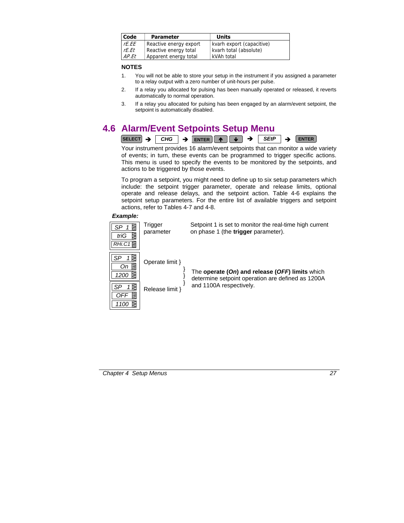<span id="page-31-0"></span>

| <b>Code</b> | <b>Parameter</b>       | Units                     |
|-------------|------------------------|---------------------------|
| rE.EE       | Reactive energy export | kvarh export (capacitive) |
| rE.Et       | Reactive energy total  | kvarh total (absolute)    |
| AP.Et       | Apparent energy total  | kVAh total                |

### **NOTES**

- 1. You will not be able to store your setup in the instrument if you assigned a parameter to a relay output with a zero number of unit-hours per pulse.
- 2. If a relay you allocated for pulsing has been manually operated or released, it reverts automatically to normal operation.
- 3. If a relay you allocated for pulsing has been engaged by an alarm/event setpoint, the setpoint is automatically disabled.

## **4.6 Alarm/Event Setpoints Setup Menu**



Your instrument provides 16 alarm/event setpoints that can monitor a wide variety of events; in turn, these events can be programmed to trigger specific actions. This menu is used to specify the events to be monitored by the setpoints, and actions to be triggered by those events.

To program a setpoint, you might need to define up to six setup parameters which include: the setpoint trigger parameter, operate and release limits, optional operate and release delays, and the setpoint action. Table 4-6 explains the setpoint setup parameters. For the entire list of available triggers and setpoint actions, refer to Tables 4-7 and 4-8.

#### *Example:*

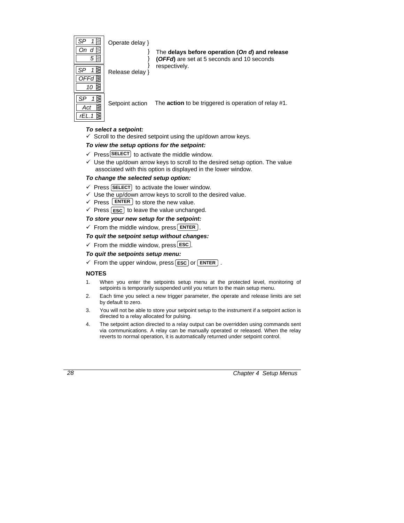

Operate delay }

} } }

The **delays before operation (***On d***) and release (***OFFd***)** are set at 5 seconds and 10 seconds respectively.

Release delay }

Setpoint action The **action** to be triggered is operation of relay #1.

### *To select a setpoint:*

 $\checkmark$  Scroll to the desired setpoint using the up/down arrow keys.

### *To view the setup options for the setpoint:*

- $\checkmark$  Press **SELECT** to activate the middle window.
- $\checkmark$  Use the up/down arrow keys to scroll to the desired setup option. The value associated with this option is displayed in the lower window.

### *To change the selected setup option:*

- $\checkmark$  Press (SELECT) to activate the lower window.
- $\checkmark$  Use the up/down arrow keys to scroll to the desired value.
- $\checkmark$  Press **ENTER** to store the new value.
- $\checkmark$  Press (**ESC**) to leave the value unchanged.

### *To store your new setup for the setpoint:*

 $\checkmark$  From the middle window, press **ENTER** .

### *To quit the setpoint setup without changes:*

 $\checkmark$  From the middle window, press **ESC**.

### *To quit the setpoints setup menu:*

 $\checkmark$  From the upper window, press  $\text{[esc]}$  or  $\text{[ENTER]}$ .

### **NOTES**

- 1. When you enter the setpoints setup menu at the protected level, monitoring of setpoints is temporarily suspended until you return to the main setup menu.
- 2. Each time you select a new trigger parameter, the operate and release limits are set by default to zero.
- 3. You will not be able to store your setpoint setup to the instrument if a setpoint action is directed to a relay allocated for pulsing.
- 4. The setpoint action directed to a relay output can be overridden using commands sent via communications. A relay can be manually operated or released. When the relay reverts to normal operation, it is automatically returned under setpoint control.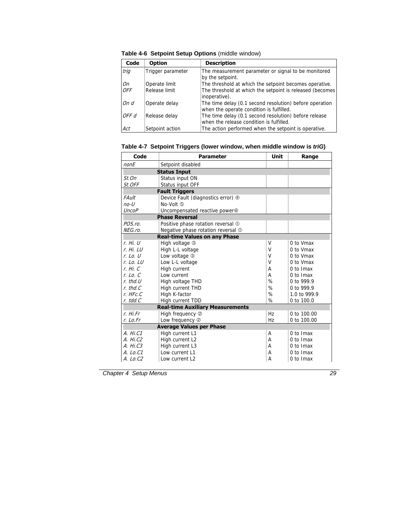| Code  | <b>Option</b>     | <b>Description</b>                                                                                  |
|-------|-------------------|-----------------------------------------------------------------------------------------------------|
| trig  | Trigger parameter | The measurement parameter or signal to be monitored<br>by the setpoint.                             |
| On    | Operate limit     | The threshold at which the setpoint becomes operative.                                              |
| OFF   | Release limit     | The threshold at which the setpoint is released (becomes<br>inoperative).                           |
| On d  | Operate delay     | The time delay (0.1 second resolution) before operation<br>when the operate condition is fulfilled. |
| OFF d | Release delay     | The time delay (0.1 second resolution) before release<br>when the release condition is fulfilled.   |
| Act   | Setpoint action   | The action performed when the setpoint is operative.                                                |

**Table 4-6 Setpoint Setup Options** (middle window)

| Code                | <b>Parameter</b>                          | Unit          | Range         |  |
|---------------------|-------------------------------------------|---------------|---------------|--|
| nonE                | Setpoint disabled                         |               |               |  |
| <b>Status Input</b> |                                           |               |               |  |
| St.On               | Status input ON                           |               |               |  |
| St.OFF              | Status input OFF                          |               |               |  |
|                     | <b>Fault Triggers</b>                     |               |               |  |
| FAult               | Device Fault (diagnostics error) 4        |               |               |  |
| $no-U$              | No-Volt (5)                               |               |               |  |
| <b>UncoP</b>        | Uncompensated reactive power <sup>®</sup> |               |               |  |
|                     | <b>Phase Reversal</b>                     |               |               |  |
| POS.ro.             | Positive phase rotation reversal 1        |               |               |  |
| NEG.ro.             | Negative phase rotation reversal 1        |               |               |  |
|                     | <b>Real-time Values on any Phase</b>      |               |               |  |
| r. Hi. U            | High voltage 3                            | V             | 0 to Vmax     |  |
| r. Hi. LU           | High L-L voltage                          | V             | 0 to Vmax     |  |
| $r.$ Lo. U          | Low voltage 3                             | V             | 0 to Vmax     |  |
| $r.$ Lo. LU         | Low L-L voltage                           | V             | 0 to Vmax     |  |
| r. Hi. C            | High current                              | А             | $0$ to $lmax$ |  |
| $r.$ Lo. $C$        | Low current                               | А             | $0$ to $Imax$ |  |
| $r.$ thd. $U$       | High voltage THD                          | %             | 0 to 999.9    |  |
| $r.$ thd. $C$       | High current THD                          | $\frac{1}{2}$ | 0 to 999.9    |  |
| $r.$ HFc. $C$       | High K-factor                             | %             | 1.0 to 999.9  |  |
| $r.$ tdd. $C$       | High current TDD                          | %             | 0 to 100.0    |  |
|                     | <b>Real-time Auxiliary Measurements</b>   |               |               |  |
| r. Hi.Fr            | High frequency 2                          | Hz            | 0 to 100.00   |  |
| r. Lo.Fr            | Low frequency 2                           | Hz            | 0 to 100.00   |  |
|                     | <b>Average Values per Phase</b>           |               |               |  |
| A. Hi.C1            | High current L1                           | A             | 0 to Imax     |  |
| A. Hi. C2           | High current L2                           | А             | 0 to Imax     |  |
| A. Hi.C3            | High current L3                           | А             | 0 to Imax     |  |
| $A.$ Lo.C1          | Low current L1                            | A             | 0 to Imax     |  |
| A. Lo.C2            | Low current L2                            | A             | 0 to Imax     |  |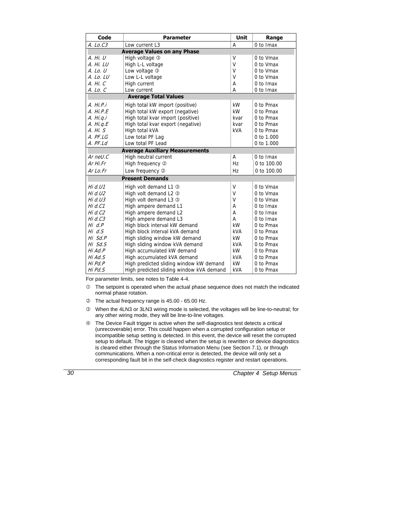| Code                               | <b>Parameter</b>                         | <b>Unit</b> | Range         |  |
|------------------------------------|------------------------------------------|-------------|---------------|--|
| A. Lo.C3                           | Low current L3                           | A           | 0 to Imax     |  |
| <b>Average Values on any Phase</b> |                                          |             |               |  |
| A. Hi. U                           | High voltage 3                           | v           | 0 to Vmax     |  |
| A. Hi. LU                          | High L-L voltage                         | V           | 0 to Vmax     |  |
| A. Lo. U                           | Low voltage 3                            | V           | 0 to Vmax     |  |
| A. Lo. LU                          | Low L-L voltage                          | V           | 0 to Vmax     |  |
| A. Hi. C                           | High current                             | A           | $0$ to $Imax$ |  |
| A. Lo. C                           | Low current                              | A           | 0 to Imax     |  |
|                                    | <b>Average Total Values</b>              |             |               |  |
| A. Hi.P.i                          | High total kW import (positive)          | kW          | 0 to Pmax     |  |
| A. Hi.P.E                          | High total kW export (negative)          | kW          | 0 to Pmax     |  |
| A. Hi.g.i                          | High total kvar import (positive)        | kvar        | 0 to Pmax     |  |
| A. Hi. q.E                         | High total kvar export (negative)        | kvar        | 0 to Pmax     |  |
| A. Hi. S                           | High total kVA                           | kVA         | 0 to Pmax     |  |
| $A.$ PF.LG                         | Low total PF Lag                         |             | 0 to 1,000    |  |
| $A.$ $PF.Ld$                       | Low total PF Lead                        |             | 0 to 1.000    |  |
|                                    | <b>Average Auxiliary Measurements</b>    |             |               |  |
| Ar nell. $C$                       | High neutral current                     | A           | 0 to Imax     |  |
| Ar Hi.Fr                           | High frequency 2                         | Hz          | 0 to 100.00   |  |
| $Ar$ Lo.Fr                         | Low frequency 2                          | Hz          | 0 to 100.00   |  |
|                                    | <b>Present Demands</b>                   |             |               |  |
| Hi $d.U1$                          | High volt demand L1 3                    | V           | 0 to Vmax     |  |
| Hi $d.U2$                          | High volt demand L2 3                    | v           | 0 to Vmax     |  |
| Hi $d$ .U3                         | High volt demand L3 3                    | v           | 0 to Vmax     |  |
| Hi d.C1                            | High ampere demand L1                    | A           | 0 to Imax     |  |
| Hi d.C2                            | High ampere demand L2                    | A           | 0 to Imax     |  |
| Hi $d$ . $C3$                      | High ampere demand L3                    | A           | 0 to Imax     |  |
| $Hi \ d.P$                         | High block interval kW demand            | kW          | 0 to Pmax     |  |
| Hi $d.S$                           | High block interval kVA demand           | kVA         | 0 to Pmax     |  |
| Hi Sd.P                            | High sliding window kW demand            | kW          | 0 to Pmax     |  |
| Hi Sd.S                            | High sliding window kVA demand           | kVA         | 0 to Pmax     |  |
| Hi Ad.P                            | High accumulated kW demand               | kW          | 0 to Pmax     |  |
| Hi Ad.S                            | High accumulated kVA demand              | kVA         | 0 to Pmax     |  |
| Hi Pd.P                            | High predicted sliding window kW demand  | kW          | 0 to Pmax     |  |
| Hi Pd.S                            | High predicted sliding window kVA demand | <b>kVA</b>  | 0 to Pmax     |  |

For parameter limits, see notes to Table 4-4.

- $\mathbb O$  The setpoint is operated when the actual phase sequence does not match the indicated normal phase rotation.
- d The actual frequency range is 45.00 65.00 Hz.
- e When the 4LN3 or 3LN3 wiring mode is selected, the voltages will be line-to-neutral; for any other wiring mode, they will be line-to-line voltages.
- $\circledast$  The Device Fault trigger is active when the self-diagnostics test detects a critical (unrecoverable) error. This could happen when a corrupted configuration setup or incompatible setup setting is detected. In this event, the device will reset the corrupted setup to default. The trigger is cleared when the setup is rewritten or device diagnostics is cleared either through the Status Information Menu (see Section 7.1), or through communications. When a non-critical error is detected, the device will only set a corresponding fault bit in the self-check diagnostics register and restart operations.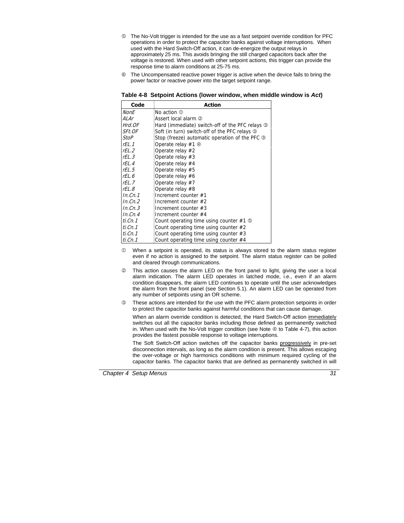- g The No-Volt trigger is intended for the use as a fast setpoint override condition for PFC operations in order to protect the capacitor banks against voltage interruptions. When used with the Hard Switch-Off action, it can de-energize the output relays in approximately 25 ms. This avoids bringing the still charged capacitors back after the voltage is restored. When used with other setpoint actions, this trigger can provide the response time to alarm conditions at 25-75 ms.
- $\odot$  The Uncompensated reactive power trigger is active when the device fails to bring the power factor or reactive power into the target setpoint range.

| Table 4-8 Setpoint Actions (lower window, when middle window is Act) |
|----------------------------------------------------------------------|
|----------------------------------------------------------------------|

| Code              | Action                                          |
|-------------------|-------------------------------------------------|
| NonE              | No action $\mathbb O$                           |
| ALAr              | Assert local alarm ②                            |
| Hrd.OF            | Hard (immediate) switch-off of the PFC relays 3 |
| SFt.OF            | Soft (in turn) switch-off of the PFC relays 3   |
| StoP              | Stop (freeze) automatic operation of the PFC 3  |
| rFL.1             | Operate relay #1 4                              |
| rFL.2             | Operate relay #2                                |
| rFL.3             | Operate relay $#3$                              |
| $rFI_4$           | Operate relay #4                                |
| rEL.5             | Operate relay #5                                |
| rEL.6             | Operate relay #6                                |
| rFL.7             | Operate relay #7                                |
| rFL.8             | Operate relay #8                                |
| In.Cn.1           | Increment counter #1                            |
| In.Cn.2           | Increment counter $#2$                          |
| In.Cn.3           | Increment counter $#3$                          |
| In.Cn.4           | Increment counter $#4$                          |
| $ti$ . $Cn$ . $1$ | Count operating time using counter $#1$ ©       |
| $ti$ . $Cn$ . $1$ | Count operating time using counter $#2$         |
| ti.Cn.1           | Count operating time using counter $#3$         |
| ti.Cn.1           | Count operating time using counter #4           |

- $\heartsuit$  When a setpoint is operated, its status is always stored to the alarm status register even if no action is assigned to the setpoint. The alarm status register can be polled and cleared through communications.
- d This action causes the alarm LED on the front panel to light, giving the user a local alarm indication. The alarm LED operates in latched mode, i.e., even if an alarm condition disappears, the alarm LED continues to operate until the user acknowledges the alarm from the front panel (see Section 5.1). An alarm LED can be operated from any number of setpoints using an OR scheme.
- e These actions are intended for the use with the PFC alarm protection setpoints in order to protect the capacitor banks against harmful conditions that can cause damage.

When an alarm override condition is detected, the Hard Switch-Off action immediately switches out all the capacitor banks including those defined as permanently switched in. When used with the No-Volt trigger condition (see Note  $\circledast$  to Table 4-7), this action provides the fastest possible response to voltage interruptions.

 The Soft Switch-Off action switches off the capacitor banks progressively in pre-set disconnection intervals, as long as the alarm condition is present. This allows escaping the over-voltage or high harmonics conditions with minimum required cycling of the capacitor banks. The capacitor banks that are defined as permanently switched in will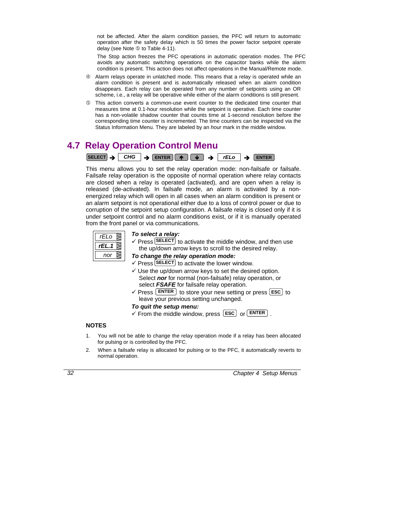not be affected. After the alarm condition passes, the PFC will return to automatic operation after the safety delay which is 50 times the power factor setpoint operate delay (see Note  $\circledcirc$  to Table 4-11).

 The Stop action freezes the PFC operations in automatic operation modes. The PFC avoids any automatic switching operations on the capacitor banks while the alarm condition is present. This action does not affect operations in the Manual/Remote mode.

- $\circledast$  Alarm relays operate in unlatched mode. This means that a relay is operated while an alarm condition is present and is automatically released when an alarm condition disappears. Each relay can be operated from any number of setpoints using an OR scheme, i.e., a relay will be operative while either of the alarm conditions is still present.
- g This action converts a common-use event counter to the dedicated time counter that measures time at 0.1-hour resolution while the setpoint is operative. Each time counter has a non-volatile shadow counter that counts time at 1-second resolution before the corresponding time counter is incremented. The time counters can be inspected via the Status Information Menu. They are labeled by an *hour* mark in the middle window.

## **4.7 Relay Operation Control Menu**



This menu allows you to set the relay operation mode: non-failsafe or failsafe. Failsafe relay operation is the opposite of normal operation where relay contacts are closed when a relay is operated (activated), and are open when a relay is released (de-activated). In failsafe mode, an alarm is activated by a nonenergized relay which will open in all cases when an alarm condition is present or an alarm setpoint is not operational either due to a loss of control power or due to corruption of the setpoint setup configuration. A failsafe relay is closed only if it is under setpoint control and no alarm conditions exist, or if it is manually operated from the front panel or via communications.



#### *To select a relay:*

 $\checkmark$  Press **SELECT** to activate the middle window, and then use the up/down arrow keys to scroll to the desired relay.

#### *To change the relay operation mode:*

- $\checkmark$  Press **SELECT** to activate the lower window.
- $\checkmark$  Use the up/down arrow keys to set the desired option. Select *nor* for normal (non-failsafe) relay operation, or select *FSAFE* for failsafe relay operation.
- $\checkmark$  Press  $\begin{bmatrix} \text{ENTER} \\ \text{for } 0 \end{bmatrix}$  to store your new setting or press  $\begin{bmatrix} \text{ESC} \\ \text{if } 0 \end{bmatrix}$  to leave your previous setting unchanged.

#### *To quit the setup menu:*

 $\checkmark$  From the middle window, press  $\text{[esc]}$  or  $\text{[ENTER]}$ .

## **NOTES**

- 1. You will not be able to change the relay operation mode if a relay has been allocated for pulsing or is controlled by the PFC.
- 2. When a failsafe relay is allocated for pulsing or to the PFC, it automatically reverts to normal operation.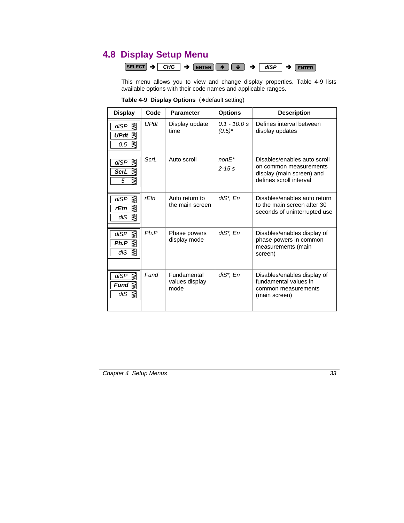# **4.8 Display Setup Menu**

|  |  |  | SELECT $\rightarrow$ CHG $\rightarrow$ ENTER $\parallel \rightarrow \parallel \downarrow \parallel \rightarrow \parallel$ disp $\rightarrow$ ENTER |  |  |  |  |
|--|--|--|----------------------------------------------------------------------------------------------------------------------------------------------------|--|--|--|--|
|--|--|--|----------------------------------------------------------------------------------------------------------------------------------------------------|--|--|--|--|

This menu allows you to view and change display properties. Table 4-9 lists available options with their code names and applicable ranges.

| <b>Display</b>                                        | Code        | <b>Parameter</b>                      | <b>Options</b>              | <b>Description</b>                                                                           |
|-------------------------------------------------------|-------------|---------------------------------------|-----------------------------|----------------------------------------------------------------------------------------------|
| R<br>diSP<br>UPdt $\lessgtr$<br>0.5                   | <b>UPdt</b> | Display update<br>time                | $0.1 - 10.0 s$<br>$(0.5)^*$ | Defines interval between<br>display updates                                                  |
| ⊠<br>diSP                                             | ScrL        | Auto scroll                           | $nonF*$                     | Disables/enables auto scroll                                                                 |
| <b>ScrL</b><br>ΚW<br>₹<br>5                           |             |                                       | $2 - 15s$                   | on common measurements<br>display (main screen) and<br>defines scroll interval               |
| R<br>diSP<br>⊠<br>rEtn<br>⊠<br>diS                    | rEtn        | Auto return to<br>the main screen     | diS*, En                    | Disables/enables auto return<br>to the main screen after 30<br>seconds of uninterrupted use  |
| WW<br>diSP<br>Ph.P<br>⊠<br>diS                        | Ph.P        | Phase powers<br>display mode          | $diS^*$ , $En$              | Disables/enables display of<br>phase powers in common<br>measurements (main<br>screen)       |
| ⊠<br>diSP<br>Fund $\overline{\mathbb{R}}$<br>diS<br>⊠ | Fund        | Fundamental<br>values display<br>mode | diS*, En                    | Disables/enables display of<br>fundamental values in<br>common measurements<br>(main screen) |

**Table 4-9 Display Options** (∗ default setting)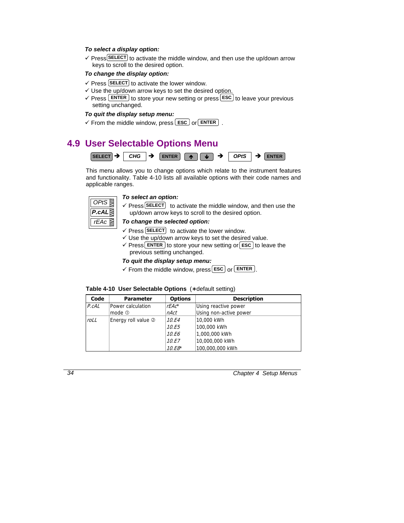#### *To select a display option:*

√ Press SELECT to activate the middle window, and then use the up/down arrow keys to scroll to the desired option.

## *To change the display option:*

- $\checkmark$  Press **SELECT** to activate the lower window.
- $\checkmark$  Use the up/down arrow keys to set the desired option.
- $\checkmark$  Press  $\text{ENTER}$  to store your new setting or press  $\text{EST}$  to leave your previous setting unchanged.

## *To quit the display setup menu:*

 $\checkmark$  From the middle window, press **ESC** or **ENTER** .

# **4.9 User Selectable Options Menu**



This menu allows you to change options which relate to the instrument features and functionality. Table 4-10 lists all available options with their code names and applicable ranges.



#### *To select an option:*

 $\checkmark$  Press **SELECT** to activate the middle window, and then use the up/down arrow keys to scroll to the desired option.

#### *To change the selected option:*

- $\checkmark$  Press **SELECT** to activate the lower window.
- $\checkmark$  Use the up/down arrow keys to set the desired value.
- $\checkmark$  Press **ENTER** to store your new setting or **ESC** to leave the previous setting unchanged.

## *To quit the display setup menu:*

 $\checkmark$  From the middle window, press **ESC** or **ENTER**.

|  |  |  | Table 4-10 User Selectable Options (* default setting) |
|--|--|--|--------------------------------------------------------|
|--|--|--|--------------------------------------------------------|

| Code  | <b>Parameter</b>    | <b>Options</b> | <b>Description</b>     |
|-------|---------------------|----------------|------------------------|
| P.cAL | Power calculation   | $rEAc^*$       | Using reactive power   |
|       | mode $0$            | nAct           | Using non-active power |
| roLL  | Energy roll value 2 | 10.E4          | 10,000 kWh             |
|       |                     | 10.E5          | 100,000 kWh            |
|       |                     | 10.E6          | 1,000,000 kWh          |
|       |                     | 10.E7          | 10,000,000 kWh         |
|       |                     | $10.E8*$       | 100,000,000 kWh        |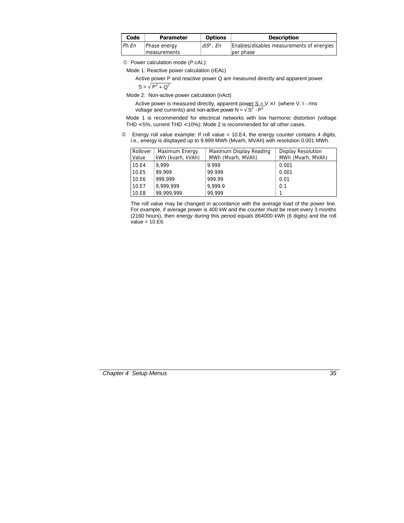| Code | <b>Parameter</b>              | <b>Options</b> | Description                                            |
|------|-------------------------------|----------------|--------------------------------------------------------|
| PhEn | Phase energy<br>lmeasurements | $diS^*$ , En   | Enables/disables measurements of energies<br>per phase |

c Power calculation mode (*P.cAL*):

Mode 1: Reactive power calculation (rEAc)

Active power P and reactive power Q are measured directly and apparent power

 $S = \sqrt{P^2 + Q^2}$ 

Mode 2: Non-active power calculation (nAct)

Active power is measured directly, apparent power  $S = V \times I$  (where V, I - rms voltage and currents) and non-active power  $N = \sqrt{S^2 - P^2}$ 

Mode 1 is recommended for electrical networks with low harmonic distortion (voltage THD < 5%, current THD < 10%); Mode 2 is recommended for all other cases.

d Energy roll value example: If roll value = 10.E4, the energy counter contains 4 digits, i.e., energy is displayed up to 9.999 MWh (Mvarh, MVAh) with resolution 0.001 MWh.

| Rollover<br>Value | Maximum Energy<br>kWh (kvarh, kVAh) | Maximum Display Reading<br>MWh (Mvarh, MVAh) | <b>Display Resolution</b><br>MWh (Mvarh, MVAh) |
|-------------------|-------------------------------------|----------------------------------------------|------------------------------------------------|
| 10.E4             | 9.999                               | 9.999                                        | 0.001                                          |
| 10.E5             | 99,999                              | 99.999                                       | 0.001                                          |
| 10.E6             | 999,999                             | 999.99                                       | 0.01                                           |
| 10.E7             | 9,999,999                           | 9,999.9                                      | 0.1                                            |
| 10.E8             | 99,999,999                          | 99.999                                       |                                                |

The roll value may be changed in accordance with the average load of the power line. For example, if average power is 400 kW and the counter must be reset every 3 months (2160 hours), then energy during this period equals 864000 kWh (6 digits) and the roll value  $= 10.E6$ .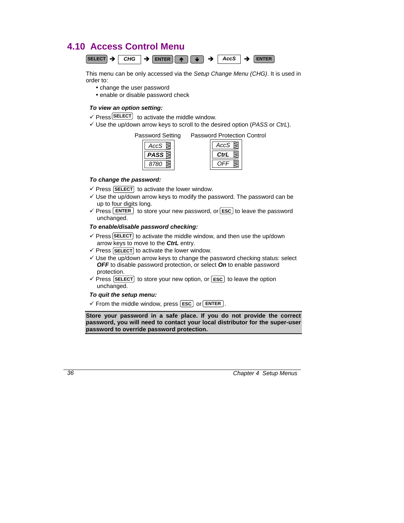# **4.10 Access Control Menu**



This menu can be only accessed via the *Setup Change Menu (CHG)*. It is used in order to:

- change the user password
- enable or disable password check

## *To view an option setting:*

- $\checkmark$  Press **SELECT** to activate the middle window.
- 9 Use the up/down arrow keys to scroll to the desired option (*PASS* or *CtrL*).

Password Setting Password Protection Control

*AccS 8780 PASS*

| ccS |
|-----|
| trL |
|     |

## *To change the password:*

- $\checkmark$  Press [SELECT] to activate the lower window.
- $\checkmark$  Use the up/down arrow keys to modify the password. The password can be up to four digits long.
- $\checkmark$  Press **ENTER** to store your new password, or **ESC** to leave the password unchanged.

## *To enable/disable password checking:*

- $\checkmark$  Press **SELECT** to activate the middle window, and then use the up/down arrow keys to move to the *CtrL* entry.
- $\checkmark$  Press (SELECT) to activate the lower window.
- $\checkmark$  Use the up/down arrow keys to change the password checking status: select *OFF* to disable password protection, or select *On* to enable password protection.
- $\checkmark$  Press **SELECT** to store your new option, or **ESC** to leave the option unchanged.

## *To quit the setup menu:*

 $\checkmark$  From the middle window, press  $\text{[esc]}$  or  $\text{[ENTER]}$ .

**Store your password in a safe place. If you do not provide the correct password, you will need to contact your local distributor for the super-user password to override password protection.**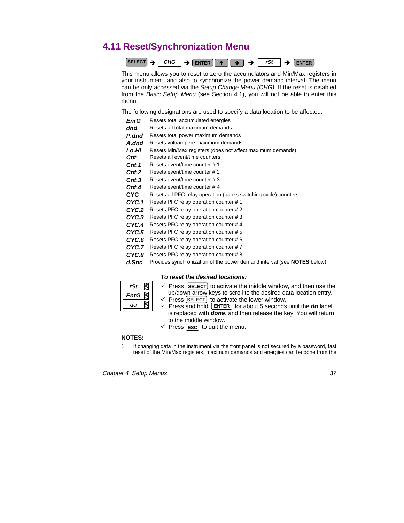# **4.11 Reset/Synchronization Menu**



This menu allows you to reset to zero the accumulators and Min/Max registers in your instrument, and also to synchronize the power demand interval. The menu can be only accessed via the *Setup Change Menu (CHG)*. If the reset is disabled from the *Basic Setup Menu* (see Section 4.1), you will not be able to enter this menu.

The following designations are used to specify a data location to be affected:

| <b>EnrG</b>        | Resets total accumulated energies                               |
|--------------------|-----------------------------------------------------------------|
| dnd                | Resets all total maximum demands                                |
| P.dnd              | Resets total power maximum demands                              |
| A.dnd              | Resets volt/ampere maximum demands                              |
| Lo.Hi              | Resets Min/Max registers (does not affect maximum demands)      |
| Cnt                | Resets all event/time counters                                  |
| $\mathsf{Cnt.1}$   | Resets event/time counter # 1                                   |
| $\mathcal{C}$ nt.2 | Resets event/time counter # 2                                   |
| $\mathcal{C}$ nt.3 | Resets event/time counter # 3                                   |
| $\mathcal{C}$ nt.4 | Resets event/time counter #4                                    |
| CYC.               | Resets all PFC relay operation (banks switching cycle) counters |
| CYC.1              | Resets PFC relay operation counter #1                           |
| CYC.2              | Resets PFC relay operation counter #2                           |
| CYC.3              | Resets PFC relay operation counter #3                           |
| CYC.4              | Resets PFC relay operation counter #4                           |
| CYC.5              | Resets PFC relay operation counter #5                           |
|                    |                                                                 |

- *CYC.6* Resets PFC relay operation counter # 6
- *CYC.7* Resets PFC relay operation counter # 7
- *CYC.8* Resets PFC relay operation counter # 8
- *d.Snc* Provides synchronization of the power demand interval (see **NOTES** below)

#### *To reset the desired locations:*

| EnrG |  |
|------|--|
| do   |  |

- $\checkmark$  Press (**SELECT**) to activate the middle window, and then use the up/down arrow keys to scroll to the desired data location entry.
- $\checkmark$  Press (**SELECT**) to activate the lower window.
- $\checkmark$  Press and hold  $\text{ENTER}$  for about 5 seconds until the **do** label is replaced with *done*, and then release the key. You will return to the middle window.
- $\checkmark$  Press [**ESC**] to quit the menu.

## **NOTES:**

1. If changing data in the instrument via the front panel is not secured by a password, fast reset of the Min/Max registers, maximum demands and energies can be done from the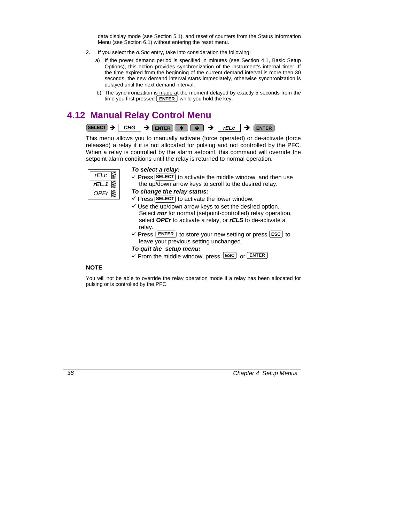data display mode (see Section 5.1), and reset of counters from the Status Information Menu (see Section 6.1) without entering the reset menu.

- 2. If you select the *d.Snc* entry, take into consideration the following:
	- a) If the power demand period is specified in minutes (see Section 4.1, Basic Setup Options), this action provides synchronization of the instrument's internal timer. If the time expired from the beginning of the current demand interval is more then 30 seconds, the new demand interval starts immediately, otherwise synchronization is delayed until the next demand interval.
	- b) The synchronization is made at the moment delayed by exactly 5 seconds from the time you first pressed  $\lfloor$  **ENTER**  $\rfloor$  while you hold the key.

# **4.12 Manual Relay Control Menu**



This menu allows you to manually activate (force operated) or de-activate (force released) a relay if it is not allocated for pulsing and not controlled by the PFC. When a relay is controlled by the alarm setpoint, this command will override the setpoint alarm conditions until the relay is returned to normal operation.

| C<br>ΗI   |  |
|-----------|--|
| rEL.<br>7 |  |
|           |  |

#### *To select a relay:*

 $\checkmark$  Press **SELECT** to activate the middle window, and then use the up/down arrow keys to scroll to the desired relay.

## *To change the relay status:*

- $\checkmark$  Press (SELECT) to activate the lower window.
- $\checkmark$  Use the up/down arrow keys to set the desired option. Select *nor* for normal (setpoint-controlled) relay operation, select *OPEr* to activate a relay, or *rELS* to de-activate a relay.
- $\checkmark$  Press  $\text{[ENTER]}$  to store your new setting or press  $\text{[esc]}$  to leave your previous setting unchanged.

#### *To quit the setup menu:*

 $\checkmark$  From the middle window, press  $\text{[esc]}$  or  $\text{[ENTER]}$ .

#### **NOTE**

You will not be able to override the relay operation mode if a relay has been allocated for pulsing or is controlled by the PFC.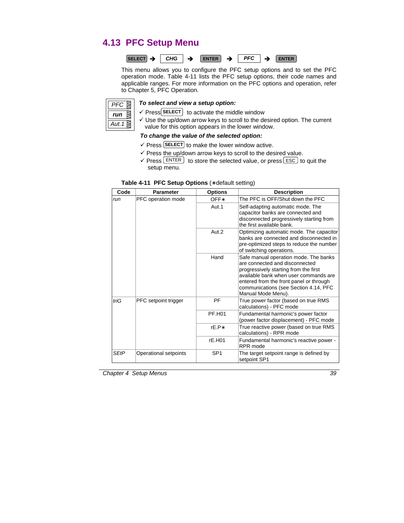# **4.13 PFC Setup Menu**



This menu allows you to configure the PFC setup options and to set the PFC operation mode. Table 4-11 lists the PFC setup options, their code names and applicable ranges. For more information on the PFC options and operation, refer to Chapter 5, PFC Operation.



#### *To select and view a setup option:*

- $\checkmark$  Press SELECT to activate the middle window
- $\checkmark$  Use the up/down arrow keys to scroll to the desired option. The current value for this option appears in the lower window.

#### *To change the value of the selected option:*

- $\checkmark$  Press **SELECT** to make the lower window active.
- $\checkmark$  Press the up/down arrow keys to scroll to the desired value.
- $\checkmark$  Press ENTER to store the selected value, or press ESC to quit the setup menu.

| Code | <b>Parameter</b>      | <b>Options</b>  | <b>Description</b>                                                                                                                                                                                                                                                  |
|------|-----------------------|-----------------|---------------------------------------------------------------------------------------------------------------------------------------------------------------------------------------------------------------------------------------------------------------------|
| run  | PFC operation mode    | OFF*            | The PFC is OFF/Shut down the PFC                                                                                                                                                                                                                                    |
|      |                       | Aut.1           | Self-adapting automatic mode. The<br>capacitor banks are connected and<br>disconnected progressively starting from<br>the first available bank.                                                                                                                     |
|      |                       | Aut.2           | Optimizing automatic mode. The capacitor<br>banks are connected and disconnected in<br>pre-optimized steps to reduce the number<br>of switching operations.                                                                                                         |
|      |                       | Hand            | Safe manual operation mode. The banks<br>are connected and disconnected<br>progressively starting from the first<br>available bank when user commands are<br>entered from the front panel or through<br>communications (see Section 4.14, PFC<br>Manual Mode Menu). |
| triG | PFC setpoint trigger  | <b>PF</b>       | True power factor (based on true RMS<br>calculations) - PFC mode                                                                                                                                                                                                    |
|      |                       | PF.H01          | Fundamental harmonic's power factor<br>(power factor displacement) - PFC mode                                                                                                                                                                                       |
|      |                       | rF.P*           | True reactive power (based on true RMS<br>calculations) - RPR mode                                                                                                                                                                                                  |
|      |                       | rE.H01          | Fundamental harmonic's reactive power -<br>RPR mode                                                                                                                                                                                                                 |
| SEtP | Operational setpoints | SP <sub>1</sub> | The target setpoint range is defined by<br>setpoint SP1                                                                                                                                                                                                             |

## **Table 4-11 PFC Setup Options** (∗ default setting)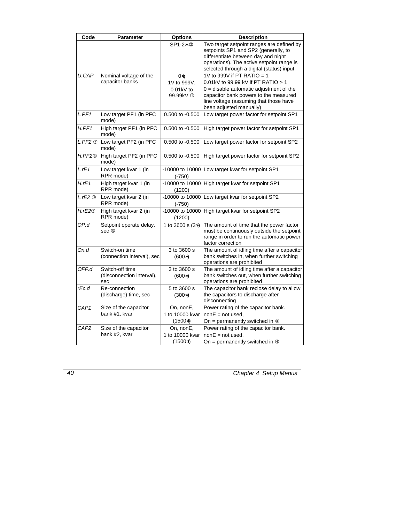| Code                   | <b>Parameter</b>                                    | <b>Options</b>                                            | <b>Description</b>                                                                                                                                                                                                          |
|------------------------|-----------------------------------------------------|-----------------------------------------------------------|-----------------------------------------------------------------------------------------------------------------------------------------------------------------------------------------------------------------------------|
|                        |                                                     | SP1-2* 2                                                  | Two target setpoint ranges are defined by<br>setpoints SP1 and SP2 (generally, to<br>differentiate between day and night<br>operations). The active setpoint range is<br>selected through a digital (status) input.         |
| <b>U.CAP</b>           | Nominal voltage of the<br>capacitor banks           | 0*.<br>1V to 999V,<br>$0.01kV$ to<br>99.99kV <sup>1</sup> | 1V to 999V if PT RATIO = 1<br>0.01kV to 99.99 kV if PT RATIO > 1<br>$0 =$ disable automatic adjustment of the<br>capacitor bank powers to the measured<br>line voltage (assuming that those have<br>been adjusted manually) |
| L.PF1                  | Low target PF1 (in PFC<br>mode)                     | $0.500$ to $-0.500$                                       | Low target power factor for setpoint SP1                                                                                                                                                                                    |
| H.PF1                  | High target PF1 (in PFC<br>mode)                    | 0.500 to -0.500                                           | High target power factor for setpoint SP1                                                                                                                                                                                   |
| $L.PF2$ $@$            | Low target PF2 (in PFC<br>mode)                     | $0.500$ to $-0.500$                                       | Low target power factor for setpoint SP2                                                                                                                                                                                    |
| H.PF2 <sup>®</sup>     | High target PF2 (in PFC<br>mode)                    | $0.500$ to $-0.500$                                       | High target power factor for setpoint SP2                                                                                                                                                                                   |
| L.rE1                  | Low target kvar 1 (in<br>RPR mode)                  | -10000 to 10000<br>$(-750)$                               | Low target kvar for setpoint SP1                                                                                                                                                                                            |
| H.rE1                  | High target kvar 1 (in<br>RPR mode)                 | (1200)                                                    | -10000 to 10000 High target kvar for setpoint SP1                                                                                                                                                                           |
| $L.rE2$ $\circledcirc$ | Low target kvar 2 (in<br>RPR mode)                  | $(-750)$                                                  | -10000 to 10000 Low target kvar for setpoint SP2                                                                                                                                                                            |
| H.rE2@                 | High target kvar 2 (in<br>RPR mode)                 | (1200)                                                    | -10000 to 10000 High target kvar for setpoint SP2                                                                                                                                                                           |
| OP.d                   | Setpoint operate delay,<br>sec ⑤                    | 1 to $3600$ s $(3*)$                                      | The amount of time that the power factor<br>must be continuously outside the setpoint<br>range in order to run the automatic power<br>factor correction                                                                     |
| On.d                   | Switch-on time<br>(connection interval), sec        | 3 to 3600 s<br>$(600*)$                                   | The amount of idling time after a capacitor<br>bank switches in, when further switching<br>operations are prohibited                                                                                                        |
| OFF.d                  | Switch-off time<br>(disconnection interval),<br>sec | 3 to 3600 s<br>$(600*)$                                   | The amount of idling time after a capacitor<br>bank switches out, when further switching<br>operations are prohibited                                                                                                       |
| rEc.d                  | Re-connection<br>(discharge) time, sec              | 5 to 3600 s<br>$(300*)$                                   | The capacitor bank reclose delay to allow<br>the capacitors to discharge after<br>disconnecting                                                                                                                             |
| CAP1                   | Size of the capacitor<br>bank #1, kvar              | On, nonE,<br>1 to 10000 kvar<br>$(1500*)$                 | Power rating of the capacitor bank.<br>$none = not used.$<br>On = permanently switched in $\Phi$                                                                                                                            |
| CAP2                   | Size of the capacitor<br>bank #2, kvar              | On, nonE,<br>1 to 10000 kvar<br>$(1500*)$                 | Power rating of the capacitor bank.<br>$nonE = not used$ ,<br>On = permanently switched in $\Phi$                                                                                                                           |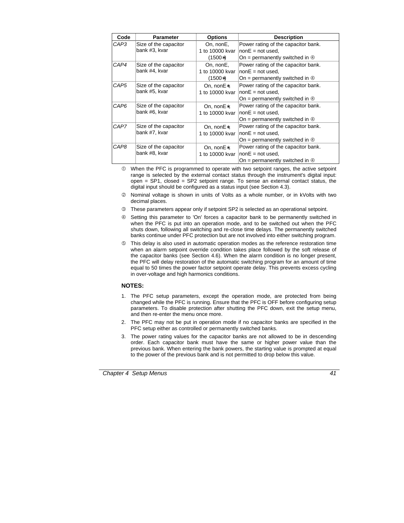| Code | <b>Parameter</b>                       | <b>Options</b>  | <b>Description</b>                          |
|------|----------------------------------------|-----------------|---------------------------------------------|
| CAP3 | Size of the capacitor                  | On, nonE,       | Power rating of the capacitor bank.         |
|      | bank #3, kvar                          | 1 to 10000 kvar | $lnone = not used.$                         |
|      |                                        | (1500*)         | On = permanently switched in $\Phi$         |
| CAP4 | Size of the capacitor                  | On, nonE,       | Power rating of the capacitor bank.         |
|      | bank #4, kvar                          | 1 to 10000 kvar | $ nonE = not used.$                         |
|      |                                        | $(1500*)$       | On = permanently switched in $\Phi$         |
| CAP5 | Size of the capacitor                  | On, nonE*,      | Power rating of the capacitor bank.         |
|      | bank #5, kvar                          | 1 to 10000 kvar | $ nonE $ = not used,                        |
|      |                                        |                 | On = permanently switched in $\Phi$         |
| CAP6 | Size of the capacitor<br>bank #6, kvar | On, nonE*,      | Power rating of the capacitor bank.         |
|      |                                        | 1 to 10000 kvar | $lnone = not used.$                         |
|      |                                        |                 | On = permanently switched in $\circledcirc$ |
| CAP7 | Size of the capacitor                  | On, nonE*,      | Power rating of the capacitor bank.         |
|      | bank #7, kvar                          | 1 to 10000 kvar | $ nonE = not used.$                         |
|      |                                        |                 | On = permanently switched in $\Phi$         |
| CAP8 | Size of the capacitor                  | On, nonE*,      | Power rating of the capacitor bank.         |
|      | bank #8, kvar                          | 1 to 10000 kvar | $nonE = not used$                           |
|      |                                        |                 | On = permanently switched in $\Phi$         |

 $\Phi$  When the PFC is programmed to operate with two setpoint ranges, the active setpoint range is selected by the external contact status through the instrument's digital input: open = SP1, closed = SP2 setpoint range. To sense an external contact status, the digital input should be configured as a status input (see Section 4.3).

- d Nominal voltage is shown in units of Volts as a whole number, or in kVolts with two decimal places.
- **EXECUTE:** These parameters appear only if setpoint SP2 is selected as an operational setpoint.
- **Exercise is setting this parameter to 'On' forces a capacitor bank to be permanently switched in** when the PFC is put into an operation mode, and to be switched out when the PFC shuts down, following all switching and re-close time delays. The permanently switched banks continue under PFC protection but are not involved into either switching program.
- g This delay is also used in automatic operation modes as the reference restoration time when an alarm setpoint override condition takes place followed by the soft release of the capacitor banks (see Section 4.6). When the alarm condition is no longer present, the PFC will delay restoration of the automatic switching program for an amount of time equal to 50 times the power factor setpoint operate delay. This prevents excess cycling in over-voltage and high harmonics conditions.

#### **NOTES:**

- 1. The PFC setup parameters, except the operation mode, are protected from being changed while the PFC is running. Ensure that the PFC is OFF before configuring setup parameters. To disable protection after shutting the PFC down, exit the setup menu, and then re-enter the menu once more.
- 2. The PFC may not be put in operation mode if no capacitor banks are specified in the PFC setup either as controlled or permanently switched banks.
- 3. The power rating values for the capacitor banks are not allowed to be in descending order. Each capacitor bank must have the same or higher power value than the previous bank. When entering the bank powers, the starting value is prompted at equal to the power of the previous bank and is not permitted to drop below this value.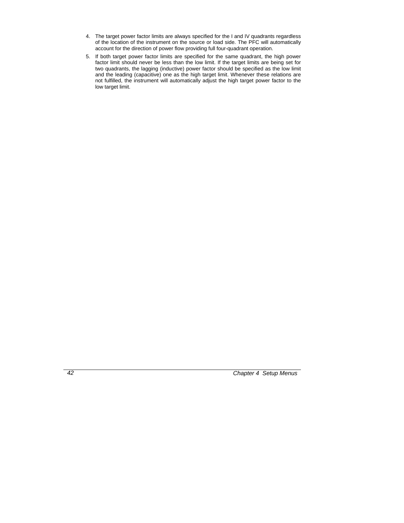- 4. The target power factor limits are always specified for the I and IV quadrants regardless of the location of the instrument on the source or load side. The PFC will automatically account for the direction of power flow providing full four-quadrant operation.
- 5. If both target power factor limits are specified for the same quadrant, the high power factor limit should never be less than the low limit. If the target limits are being set for two quadrants, the lagging (inductive) power factor should be specified as the low limit and the leading (capacitive) one as the high target limit. Whenever these relations are not fulfilled, the instrument will automatically adjust the high target power factor to the low target limit.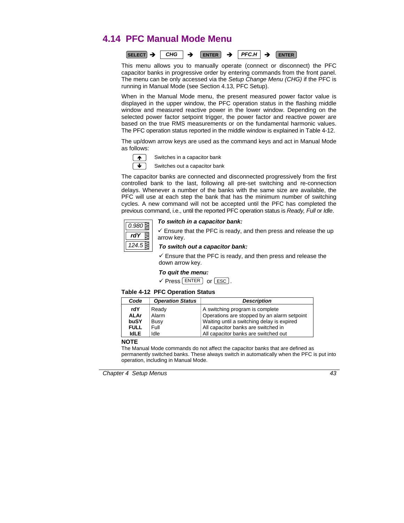# **4.14 PFC Manual Mode Menu**



This menu allows you to manually operate (connect or disconnect) the PFC capacitor banks in progressive order by entering commands from the front panel. The menu can be only accessed via the *Setup Change Menu (CHG)* if the PFC is running in Manual Mode (see Section 4.13, PFC Setup).

When in the Manual Mode menu, the present measured power factor value is displayed in the upper window, the PFC operation status in the flashing middle window and measured reactive power in the lower window. Depending on the selected power factor setpoint trigger, the power factor and reactive power are based on the true RMS measurements or on the fundamental harmonic values. The PFC operation status reported in the middle window is explained in Table 4-12.

The up/down arrow keys are used as the command keys and act in Manual Mode as follows:



Switches in a capacitor bank

Switches out a capacitor bank

The capacitor banks are connected and disconnected progressively from the first controlled bank to the last, following all pre-set switching and re-connection delays. Whenever a number of the banks with the same size are available, the PFC will use at each step the bank that has the minimum number of switching cycles. A new command will not be accepted until the PFC has completed the previous command, i.e., until the reported PFC operation status is *Ready, Full* or *Idle*.



## *To switch in a capacitor bank:*

 $\checkmark$  Ensure that the PFC is ready, and then press and release the up arrow key.

## *To switch out a capacitor bank:*

 $\checkmark$  Ensure that the PFC is ready, and then press and release the down arrow key.

#### *To quit the menu:*

 $\checkmark$  Press  $\text{ENTER}$  or  $\text{esc}$ .

#### **Table 4-12 PFC Operation Status**

| Code               | <b>Operation Status</b> | <b>Description</b>                                                             |
|--------------------|-------------------------|--------------------------------------------------------------------------------|
| rdY<br><b>ALAr</b> | Ready<br>Alarm          | A switching program is complete<br>Operations are stopped by an alarm setpoint |
| buSY               | Busy                    | Waiting until a switching delay is expired                                     |
| <b>FULL</b>        | Full                    | All capacitor banks are switched in                                            |
| <b>IdLE</b>        | Idle                    | All capacitor banks are switched out                                           |

#### **NOTE**

The Manual Mode commands do not affect the capacitor banks that are defined as permanently switched banks. These always switch in automatically when the PFC is put into operation, including in Manual Mode.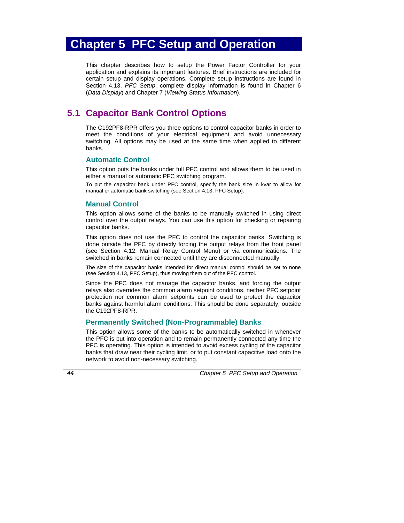# **Chapter 5 PFC Setup and Operation**

This chapter describes how to setup the Power Factor Controller for your application and explains its important features. Brief instructions are included for certain setup and display operations. Complete setup instructions are found in Section 4.13, *PFC Setup*; complete display information is found in Chapter 6 (*Data Display*) and Chapter 7 (*Viewing Status Information*).

## **5.1 Capacitor Bank Control Options**

The C192PF8-RPR offers you three options to control capacitor banks in order to meet the conditions of your electrical equipment and avoid unnecessary switching. All options may be used at the same time when applied to different banks.

## **Automatic Control**

This option puts the banks under full PFC control and allows them to be used in either a manual or automatic PFC switching program.

To put the capacitor bank under PFC control, specify the bank size in kvar to allow for manual or automatic bank switching (see Section 4.13, PFC Setup).

## **Manual Control**

This option allows some of the banks to be manually switched in using direct control over the output relays. You can use this option for checking or repairing capacitor banks.

This option does not use the PFC to control the capacitor banks. Switching is done outside the PFC by directly forcing the output relays from the front panel (see Section 4.12, Manual Relay Control Menu) or via communications. The switched in banks remain connected until they are disconnected manually.

The size of the capacitor banks intended for direct manual control should be set to none (see Section 4.13, PFC Setup), thus moving them out of the PFC control.

Since the PFC does not manage the capacitor banks, and forcing the output relays also overrides the common alarm setpoint conditions, neither PFC setpoint protection nor common alarm setpoints can be used to protect the capacitor banks against harmful alarm conditions. This should be done separately, outside the C192PF8-RPR.

## **Permanently Switched (Non-Programmable) Banks**

This option allows some of the banks to be automatically switched in whenever the PFC is put into operation and to remain permanently connected any time the PFC is operating. This option is intended to avoid excess cycling of the capacitor banks that draw near their cycling limit, or to put constant capacitive load onto the network to avoid non-necessary switching.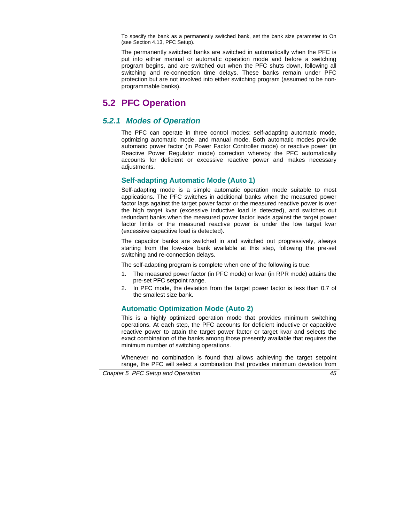To specify the bank as a permanently switched bank, set the bank size parameter to On (see Section 4.13, PFC Setup).

The permanently switched banks are switched in automatically when the PFC is put into either manual or automatic operation mode and before a switching program begins, and are switched out when the PFC shuts down, following all switching and re-connection time delays. These banks remain under PFC protection but are not involved into either switching program (assumed to be nonprogrammable banks).

# **5.2 PFC Operation**

## *5.2.1 Modes of Operation*

The PFC can operate in three control modes: self-adapting automatic mode, optimizing automatic mode, and manual mode. Both automatic modes provide automatic power factor (in Power Factor Controller mode) or reactive power (in Reactive Power Regulator mode) correction whereby the PFC automatically accounts for deficient or excessive reactive power and makes necessary adjustments.

## **Self-adapting Automatic Mode (Auto 1)**

Self-adapting mode is a simple automatic operation mode suitable to most applications. The PFC switches in additional banks when the measured power factor lags against the target power factor or the measured reactive power is over the high target kvar (excessive inductive load is detected), and switches out redundant banks when the measured power factor leads against the target power factor limits or the measured reactive power is under the low target kvar (excessive capacitive load is detected).

The capacitor banks are switched in and switched out progressively, always starting from the low-size bank available at this step, following the pre-set switching and re-connection delays.

The self-adapting program is complete when one of the following is true:

- 1. The measured power factor (in PFC mode) or kvar (in RPR mode) attains the pre-set PFC setpoint range.
- 2. In PFC mode, the deviation from the target power factor is less than 0.7 of the smallest size bank.

## **Automatic Optimization Mode (Auto 2)**

This is a highly optimized operation mode that provides minimum switching operations. At each step, the PFC accounts for deficient inductive or capacitive reactive power to attain the target power factor or target kvar and selects the exact combination of the banks among those presently available that requires the minimum number of switching operations.

Whenever no combination is found that allows achieving the target setpoint range, the PFC will select a combination that provides minimum deviation from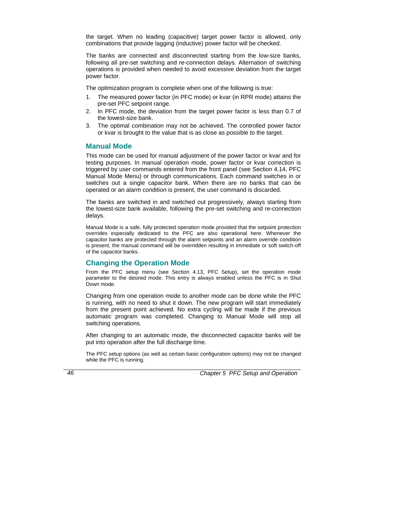the target. When no leading (capacitive) target power factor is allowed, only combinations that provide lagging (inductive) power factor will be checked.

The banks are connected and disconnected starting from the low-size banks, following all pre-set switching and re-connection delays. Alternation of switching operations is provided when needed to avoid excessive deviation from the target power factor.

The optimization program is complete when one of the following is true:

- 1. The measured power factor (in PFC mode) or kvar (in RPR mode) attains the pre-set PFC setpoint range.
- 2. In PFC mode, the deviation from the target power factor is less than 0.7 of the lowest-size bank.
- 3. The optimal combination may not be achieved. The controlled power factor or kvar is brought to the value that is as close as possible to the target.

## **Manual Mode**

This mode can be used for manual adjustment of the power factor or kvar and for testing purposes. In manual operation mode, power factor or kvar correction is triggered by user commands entered from the front panel (see Section 4.14, PFC Manual Mode Menu) or through communications. Each command switches in or switches out a single capacitor bank. When there are no banks that can be operated or an alarm condition is present, the user command is discarded.

The banks are switched in and switched out progressively, always starting from the lowest-size bank available, following the pre-set switching and re-connection delays.

Manual Mode is a safe, fully protected operation mode provided that the setpoint protection overrides especially dedicated to the PFC are also operational here. Whenever the capacitor banks are protected through the alarm setpoints and an alarm override condition is present, the manual command will be overridden resulting in immediate or soft switch-off of the capacitor banks.

## **Changing the Operation Mode**

From the PFC setup menu (see Section 4.13, PFC Setup), set the operation mode parameter to the desired mode. This entry is always enabled unless the PFC is in Shut Down mode.

Changing from one operation mode to another mode can be done while the PFC is running, with no need to shut it down. The new program will start immediately from the present point achieved. No extra cycling will be made if the previous automatic program was completed. Changing to Manual Mode will stop all switching operations.

After changing to an automatic mode, the disconnected capacitor banks will be put into operation after the full discharge time.

The PFC setup options (as well as certain basic configuration options) may not be changed while the PFC is running.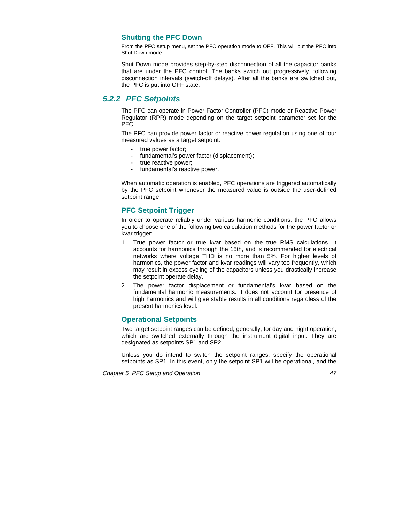## **Shutting the PFC Down**

From the PFC setup menu, set the PFC operation mode to OFF. This will put the PFC into Shut Down mode.

Shut Down mode provides step-by-step disconnection of all the capacitor banks that are under the PFC control. The banks switch out progressively, following disconnection intervals (switch-off delays). After all the banks are switched out, the PFC is put into OFF state.

## *5.2.2 PFC Setpoints*

The PFC can operate in Power Factor Controller (PFC) mode or Reactive Power Regulator (RPR) mode depending on the target setpoint parameter set for the PFC.

The PFC can provide power factor or reactive power regulation using one of four measured values as a target setpoint:

- true power factor;
- fundamental's power factor (displacement) ;
- true reactive power;
- fundamental's reactive power.

When automatic operation is enabled, PFC operations are triggered automatically by the PFC setpoint whenever the measured value is outside the user-defined setpoint range.

## **PFC Setpoint Trigger**

In order to operate reliably under various harmonic conditions, the PFC allows you to choose one of the following two calculation methods for the power factor or kvar trigger:

- 1. True power factor or true kvar based on the true RMS calculations. It accounts for harmonics through the 15th, and is recommended for electrical networks where voltage THD is no more than 5%. For higher levels of harmonics, the power factor and kvar readings will vary too frequently, which may result in excess cycling of the capacitors unless you drastically increase the setpoint operate delay.
- 2. The power factor displacement or fundamental's kvar based on the fundamental harmonic measurements. It does not account for presence of high harmonics and will give stable results in all conditions regardless of the present harmonics level.

## **Operational Setpoints**

Two target setpoint ranges can be defined, generally, for day and night operation, which are switched externally through the instrument digital input. They are designated as setpoints SP1 and SP2.

Unless you do intend to switch the setpoint ranges, specify the operational setpoints as SP1. In this event, only the setpoint SP1 will be operational, and the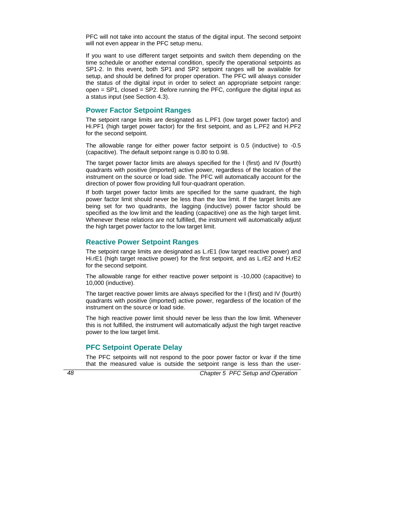PFC will not take into account the status of the digital input. The second setpoint will not even appear in the PFC setup menu.

If you want to use different target setpoints and switch them depending on the time schedule or another external condition, specify the operational setpoints as SP1-2. In this event, both SP1 and SP2 setpoint ranges will be available for setup, and should be defined for proper operation. The PFC will always consider the status of the digital input in order to select an appropriate setpoint range: open = SP1, closed = SP2. Before running the PFC, configure the digital input as a status input (see Section 4.3).

## **Power Factor Setpoint Ranges**

The setpoint range limits are designated as L.PF1 (low target power factor) and Hi.PF1 (high target power factor) for the first setpoint, and as L.PF2 and H.PF2 for the second setpoint.

The allowable range for either power factor setpoint is 0.5 (inductive) to -0.5 (capacitive). The default setpoint range is 0.80 to 0.98.

The target power factor limits are always specified for the I (first) and IV (fourth) quadrants with positive (imported) active power, regardless of the location of the instrument on the source or load side. The PFC will automatically account for the direction of power flow providing full four-quadrant operation.

If both target power factor limits are specified for the same quadrant, the high power factor limit should never be less than the low limit. If the target limits are being set for two quadrants, the lagging (inductive) power factor should be specified as the low limit and the leading (capacitive) one as the high target limit. Whenever these relations are not fulfilled, the instrument will automatically adjust the high target power factor to the low target limit.

#### **Reactive Power Setpoint Ranges**

The setpoint range limits are designated as L.rE1 (low target reactive power) and Hi.rE1 (high target reactive power) for the first setpoint, and as L.rE2 and H.rE2 for the second setpoint.

The allowable range for either reactive power setpoint is -10,000 (capacitive) to 10,000 (inductive).

The target reactive power limits are always specified for the I (first) and IV (fourth) quadrants with positive (imported) active power, regardless of the location of the instrument on the source or load side.

The high reactive power limit should never be less than the low limit. Whenever this is not fulfilled, the instrument will automatically adjust the high target reactive power to the low target limit.

## **PFC Setpoint Operate Delay**

The PFC setpoints will not respond to the poor power factor or kvar if the time that the measured value is outside the setpoint range is less than the user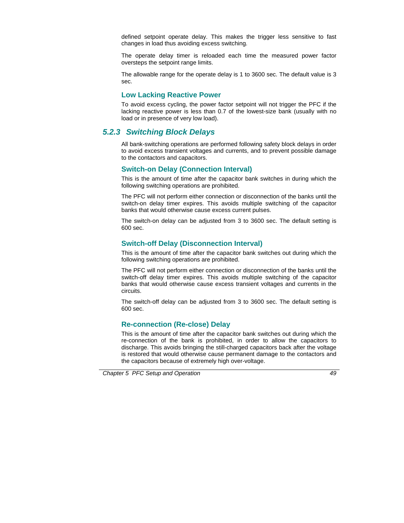defined setpoint operate delay. This makes the trigger less sensitive to fast changes in load thus avoiding excess switching.

The operate delay timer is reloaded each time the measured power factor oversteps the setpoint range limits.

The allowable range for the operate delay is 1 to 3600 sec. The default value is 3 sec.

## **Low Lacking Reactive Power**

To avoid excess cycling, the power factor setpoint will not trigger the PFC if the lacking reactive power is less than 0.7 of the lowest-size bank (usually with no load or in presence of very low load).

## *5.2.3 Switching Block Delays*

All bank-switching operations are performed following safety block delays in order to avoid excess transient voltages and currents, and to prevent possible damage to the contactors and capacitors.

## **Switch-on Delay (Connection Interval)**

This is the amount of time after the capacitor bank switches in during which the following switching operations are prohibited.

The PFC will not perform either connection or disconnection of the banks until the switch-on delay timer expires. This avoids multiple switching of the capacitor banks that would otherwise cause excess current pulses.

The switch-on delay can be adjusted from 3 to 3600 sec. The default setting is 600 sec.

## **Switch-off Delay (Disconnection Interval)**

This is the amount of time after the capacitor bank switches out during which the following switching operations are prohibited.

The PFC will not perform either connection or disconnection of the banks until the switch-off delay timer expires. This avoids multiple switching of the capacitor banks that would otherwise cause excess transient voltages and currents in the circuits.

The switch-off delay can be adjusted from 3 to 3600 sec. The default setting is 600 sec.

## **Re-connection (Re-close) Delay**

This is the amount of time after the capacitor bank switches out during which the re-connection of the bank is prohibited, in order to allow the capacitors to discharge. This avoids bringing the still-charged capacitors back after the voltage is restored that would otherwise cause permanent damage to the contactors and the capacitors because of extremely high over-voltage.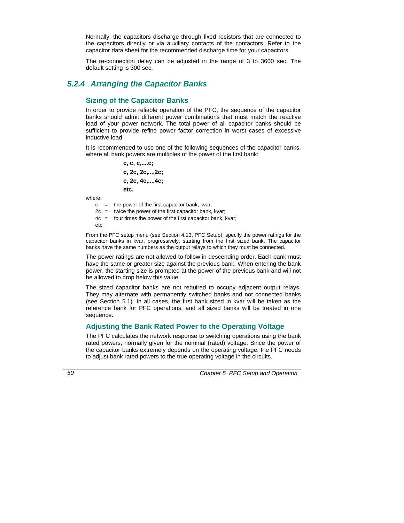Normally, the capacitors discharge through fixed resistors that are connected to the capacitors directly or via auxiliary contacts of the contactors. Refer to the capacitor data sheet for the recommended discharge time for your capacitors.

The re-connection delay can be adjusted in the range of 3 to 3600 sec. The default setting is 300 sec.

## *5.2.4 Arranging the Capacitor Banks*

## **Sizing of the Capacitor Banks**

In order to provide reliable operation of the PFC, the sequence of the capacitor banks should admit different power combinations that must match the reactive load of your power network. The total power of all capacitor banks should be sufficient to provide refine power factor correction in worst cases of excessive inductive load.

It is recommended to use one of the following sequences of the capacitor banks, where all bank powers are multiples of the power of the first bank:

> **c, c, c,....c; c, 2c, 2c,....2c; c, 2c, 4c,....4c; etc.**

where:

 $c =$  the power of the first capacitor bank, kvar:  $2c =$  twice the power of the first capacitor bank, kvar:

4c = four times the power of the first capacitor bank, kvar;

etc.

From the PFC setup menu (see Section 4.13, PFC Setup), specify the power ratings for the capacitor banks in kvar, progressively, starting from the first sized bank. The capacitor banks have the same numbers as the output relays to which they must be connected.

The power ratings are not allowed to follow in descending order. Each bank must have the same or greater size against the previous bank. When entering the bank power, the starting size is prompted at the power of the previous bank and will not be allowed to drop below this value.

The sized capacitor banks are not required to occupy adjacent output relays. They may alternate with permanently switched banks and not connected banks (see Section 5.1). In all cases, the first bank sized in kvar will be taken as the reference bank for PFC operations, and all sized banks will be treated in one sequence.

## **Adjusting the Bank Rated Power to the Operating Voltage**

The PFC calculates the network response to switching operations using the bank rated powers, normally given for the nominal (rated) voltage. Since the power of the capacitor banks extremely depends on the operating voltage, the PFC needs to adjust bank rated powers to the true operating voltage in the circuits.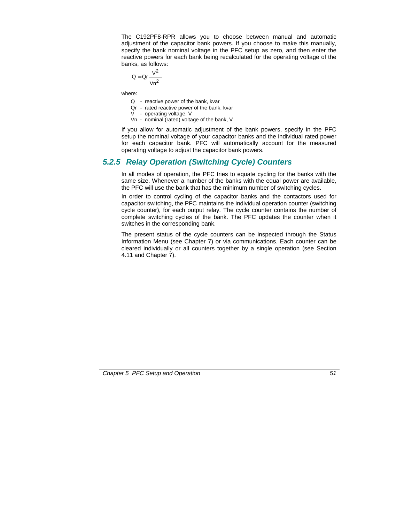The C192PF8-RPR allows you to choose between manual and automatic adjustment of the capacitor bank powers. If you choose to make this manually, specify the bank nominal voltage in the PFC setup as zero, and then enter the reactive powers for each bank being recalculated for the operating voltage of the banks, as follows:

$$
Q = Qr \frac{V^2}{Vn^2}
$$

where:

- Q reactive power of the bank, kvar
- Qr rated reactive power of the bank, kvar
- V operating voltage, V
- Vn nominal (rated) voltage of the bank, V

If you allow for automatic adjustment of the bank powers, specify in the PFC setup the nominal voltage of your capacitor banks and the individual rated power for each capacitor bank. PFC will automatically account for the measured operating voltage to adjust the capacitor bank powers.

## *5.2.5 Relay Operation (Switching Cycle) Counters*

In all modes of operation, the PFC tries to equate cycling for the banks with the same size. Whenever a number of the banks with the equal power are available, the PFC will use the bank that has the minimum number of switching cycles.

In order to control cycling of the capacitor banks and the contactors used for capacitor switching, the PFC maintains the individual operation counter (switching cycle counter), for each output relay. The cycle counter contains the number of complete switching cycles of the bank. The PFC updates the counter when it switches in the corresponding bank.

The present status of the cycle counters can be inspected through the Status Information Menu (see Chapter 7) or via communications. Each counter can be cleared individually or all counters together by a single operation (see Section 4.11 and Chapter 7).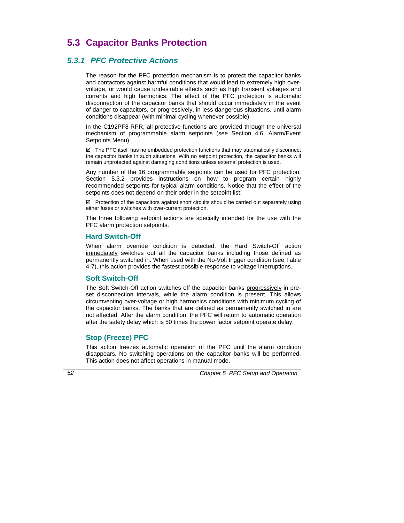# **5.3 Capacitor Banks Protection**

## *5.3.1 PFC Protective Actions*

The reason for the PFC protection mechanism is to protect the capacitor banks and contactors against harmful conditions that would lead to extremely high overvoltage, or would cause undesirable effects such as high transient voltages and currents and high harmonics. The effect of the PFC protection is automatic disconnection of the capacitor banks that should occur immediately in the event of danger to capacitors, or progressively, in less dangerous situations, until alarm conditions disappear (with minimal cycling whenever possible).

In the C192PF8-RPR, all protective functions are provided through the universal mechanism of programmable alarm setpoints (see Section 4.6, Alarm/Event Setpoints Menu).

 $\boxtimes$  The PFC itself has no embedded protection functions that may automatically disconnect the capacitor banks in such situations. With no setpoint protection, the capacitor banks will remain unprotected against damaging conditions unless external protection is used.

Any number of the 16 programmable setpoints can be used for PFC protection. Section 5.3.2 provides instructions on how to program certain highly recommended setpoints for typical alarm conditions. Notice that the effect of the setpoints does not depend on their order in the setpoint list.

 $\boxtimes$  Protection of the capacitors against short circuits should be carried out separately using either fuses or switches with over-current protection.

The three following setpoint actions are specially intended for the use with the PFC alarm protection setpoints.

## **Hard Switch-Off**

When alarm override condition is detected, the Hard Switch-Off action immediately switches out all the capacitor banks including those defined as permanently switched in. When used with the No-Volt trigger condition (see Table 4-7), this action provides the fastest possible response to voltage interruptions.

## **Soft Switch-Off**

The Soft Switch-Off action switches off the capacitor banks progressively in preset disconnection intervals, while the alarm condition is present. This allows circumventing over-voltage or high harmonics conditions with minimum cycling of the capacitor banks. The banks that are defined as permanently switched in are not affected. After the alarm condition, the PFC will return to automatic operation after the safety delay which is 50 times the power factor setpoint operate delay.

## **Stop (Freeze) PFC**

This action freezes automatic operation of the PFC until the alarm condition disappears. No switching operations on the capacitor banks will be performed. This action does not affect operations in manual mode.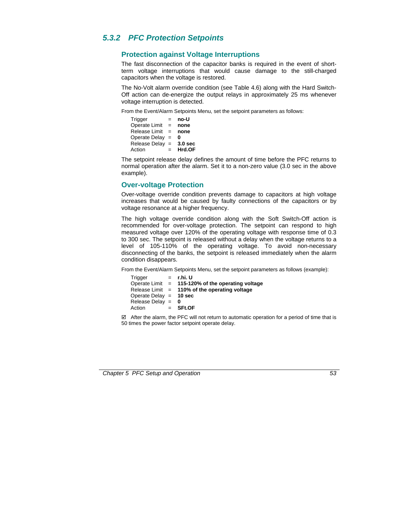## *5.3.2 PFC Protection Setpoints*

## **Protection against Voltage Interruptions**

The fast disconnection of the capacitor banks is required in the event of shortterm voltage interruptions that would cause damage to the still-charged capacitors when the voltage is restored.

The No-Volt alarm override condition (see Table 4.6) along with the Hard Switch-Off action can de-energize the output relays in approximately 25 ms whenever voltage interruption is detected.

From the Event/Alarm Setpoints Menu, set the setpoint parameters as follows:

Trigger = **no-U** Operate Limit = **none** Release Limit = **none** Operate Delay = **0** Release Delay = **3.0 sec** Action  $=$  **Hrd.OF** 

The setpoint release delay defines the amount of time before the PFC returns to normal operation after the alarm. Set it to a non-zero value (3.0 sec in the above example).

## **Over-voltage Protection**

Over-voltage override condition prevents damage to capacitors at high voltage increases that would be caused by faulty connections of the capacitors or by voltage resonance at a higher frequency.

The high voltage override condition along with the Soft Switch-Off action is recommended for over-voltage protection. The setpoint can respond to high measured voltage over 120% of the operating voltage with response time of 0.3 to 300 sec. The setpoint is released without a delay when the voltage returns to a level of 105-110% of the operating voltage. To avoid non-necessary disconnecting of the banks, the setpoint is released immediately when the alarm condition disappears.

From the Event/Alarm Setpoints Menu, set the setpoint parameters as follows (example):

| Trigger                  | $=$ r.hi. U                                         |
|--------------------------|-----------------------------------------------------|
|                          | Operate Limit $=$ 115-120% of the operating voltage |
|                          | Release Limit $=$ 110% of the operating voltage     |
| Operate Delay $=$ 10 sec |                                                     |
| Release Delay = $\theta$ |                                                     |
| Action                   | $=$ SFt.OF                                          |

 $\boxtimes$  After the alarm, the PFC will not return to automatic operation for a period of time that is 50 times the power factor setpoint operate delay.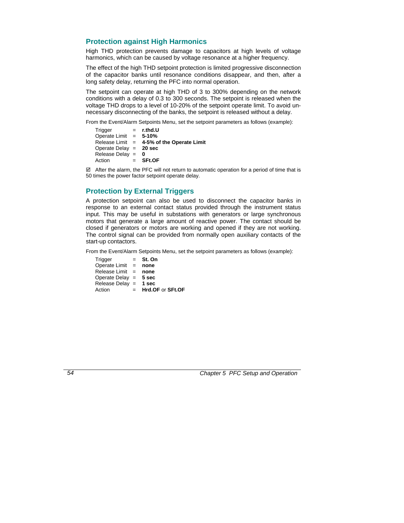## **Protection against High Harmonics**

High THD protection prevents damage to capacitors at high levels of voltage harmonics, which can be caused by voltage resonance at a higher frequency.

The effect of the high THD setpoint protection is limited progressive disconnection of the capacitor banks until resonance conditions disappear, and then, after a long safety delay, returning the PFC into normal operation.

The setpoint can operate at high THD of 3 to 300% depending on the network conditions with a delay of 0.3 to 300 seconds. The setpoint is released when the voltage THD drops to a level of 10-20% of the setpoint operate limit. To avoid unnecessary disconnecting of the banks, the setpoint is released without a delay.

From the Event/Alarm Setpoints Menu, set the setpoint parameters as follows (example):

Trigger = **r.thd.U** Operate Limit = **5-10%**  Release Limit = **4-5% of the Operate Limit** Operate Delay = **20 sec** Release Delay = **0** Action = **SFt.OF**

 $\boxtimes$  After the alarm, the PFC will not return to automatic operation for a period of time that is 50 times the power factor setpoint operate delay.

## **Protection by External Triggers**

A protection setpoint can also be used to disconnect the capacitor banks in response to an external contact status provided through the instrument status input. This may be useful in substations with generators or large synchronous motors that generate a large amount of reactive power. The contact should be closed if generators or motors are working and opened if they are not working. The control signal can be provided from normally open auxiliary contacts of the start-up contactors.

From the Event/Alarm Setpoints Menu, set the setpoint parameters as follows (example):

| Trigger                 | $=$ | St. On           |
|-------------------------|-----|------------------|
| Operate Limit $=$       |     | none             |
| Release Limit $=$       |     | none             |
| Operate Delay $= 5$ sec |     |                  |
| Release Delay $=$ 1 sec |     |                  |
| Action                  | $=$ | Hrd.OF or SFt.OF |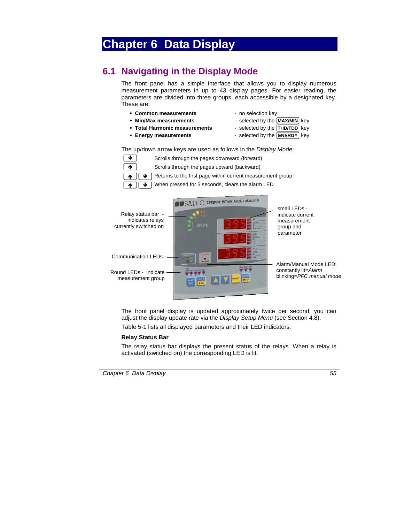# **Chapter 6 Data Display**

# **6.1 Navigating in the Display Mode**

The front panel has a simple interface that allows you to display numerous measurement parameters in up to 43 display pages. For easier reading, the parameters are divided into three groups, each accessible by a designated key. These are:

- Common measurements **and a common measurements -** no selection key
	-
- 
- Min/Max measurements **and Find Selected by the MAX/MIN** key
- Total Harmonic measurements selected by the THD/TDD key
- -
- **Energy measurements Figure 1** selected by the **ENERGY** Rey

The up/down arrow keys are used as follows in the *Display Mode*:





The front panel display is updated approximately twice per second; you can adjust the display update rate via the *Display Setup Menu* (see Section 4.8).

Table 5-1 lists all displayed parameters and their LED indicators.

#### **Relay Status Bar**

The relay status bar displays the present status of the relays. When a relay is activated (switched on) the corresponding LED is lit.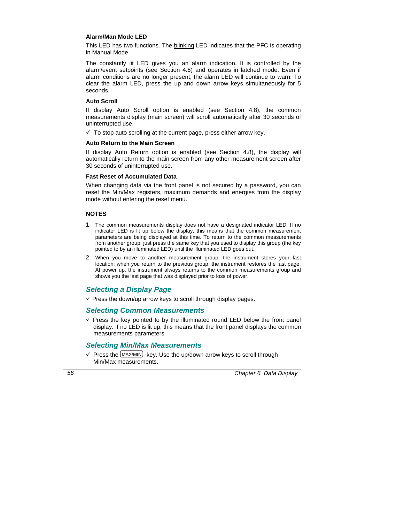#### **Alarm/Man Mode LED**

This LED has two functions. The blinking LED indicates that the PFC is operating in Manual Mode.

The constantly lit LED gives you an alarm indication. It is controlled by the alarm/event setpoints (see Section 4.6) and operates in latched mode. Even if alarm conditions are no longer present, the alarm LED will continue to warn. To clear the alarm LED, press the up and down arrow keys simultaneously for 5 seconds.

#### **Auto Scroll**

If display Auto Scroll option is enabled (see Section 4.8), the common measurements display (main screen) will scroll automatically after 30 seconds of uninterrupted use.

 $\checkmark$  To stop auto scrolling at the current page, press either arrow key.

#### **Auto Return to the Main Screen**

If display Auto Return option is enabled (see Section 4.8), the display will automatically return to the main screen from any other measurement screen after 30 seconds of uninterrupted use.

#### **Fast Reset of Accumulated Data**

When changing data via the front panel is not secured by a password, you can reset the Min/Max registers, maximum demands and energies from the display mode without entering the reset menu.

#### **NOTES**

- 1. The common measurements display does not have a designated indicator LED. If no indicator LED is lit up below the display, this means that the common measurement parameters are being displayed at this time. To return to the common measurements from another group, just press the same key that you used to display this group (the key pointed to by an illuminated LED) until the illuminated LED goes out.
- 2. When you move to another measurement group, the instrument stores your last location; when you return to the previous group, the instrument restores the last page. At power up, the instrument always returns to the common measurements group and shows you the last page that was displayed prior to loss of power.

## *Selecting a Display Page*

 $\checkmark$  Press the down/up arrow keys to scroll through display pages.

## *Selecting Common Measurements*

 $\checkmark$  Press the key pointed to by the illuminated round LED below the front panel display. If no LED is lit up, this means that the front panel displays the common measurements parameters.

## *Selecting Min/Max Measurements*

 $\checkmark$  Press the  $\text{MAX/MIN}$  key. Use the up/down arrow keys to scroll through Min/Max measurements.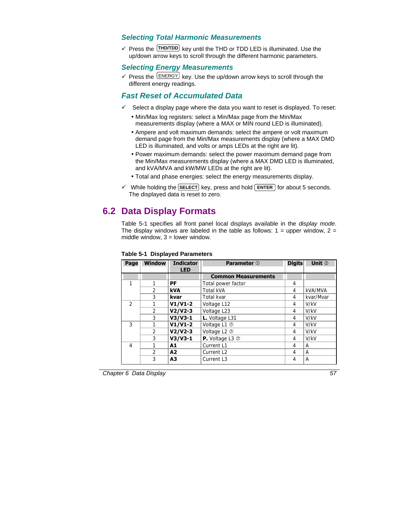## *Selecting Total Harmonic Measurements*

 $\checkmark$  Press the  $[THDTDD]$  key until the THD or TDD LED is illuminated. Use the up/down arrow keys to scroll through the different harmonic parameters.

## *Selecting Energy Measurements*

 $\checkmark$  Press the  $\text{[ENERGY]}$  key. Use the up/down arrow keys to scroll through the different energy readings.

## *Fast Reset of Accumulated Data*

- $\checkmark$  Select a display page where the data you want to reset is displayed. To reset:
	- Min/Max log registers: select a Min/Max page from the Min/Max measurements display (where a MAX or MIN round LED is illuminated).
	- Ampere and volt maximum demands: select the ampere or volt maximum demand page from the Min/Max measurements display (where a MAX DMD LED is illuminated, and volts or amps LEDs at the right are lit).
	- Power maximum demands: select the power maximum demand page from the Min/Max measurements display (where a MAX DMD LED is illuminated, and kVA/MVA and kW/MW LEDs at the right are lit).
	- Total and phase energies: select the energy measurements display.
- $\checkmark$  While holding the **SELECT** key, press and hold  $[ENTER]$  for about 5 seconds. The displayed data is reset to zero.

# **6.2 Data Display Formats**

Table 5-1 specifies all front panel local displays available in the *display mode*. The display windows are labeled in the table as follows:  $1 =$  upper window,  $2 =$ middle window,  $3 =$  lower window.

| Page           | <b>Window</b>  | <b>Indicator</b> | <b>Parameter</b> 1             | <b>Digits</b> | Unit 2    |
|----------------|----------------|------------------|--------------------------------|---------------|-----------|
|                |                | <b>LED</b>       |                                |               |           |
|                |                |                  | <b>Common Measurements</b>     |               |           |
| 1              | 1              | PF               | Total power factor             | 4             |           |
|                | $\mathcal{P}$  | kVA              | <b>Total kVA</b>               | 4             | kVA/MVA   |
|                | 3              | kvar             | Total kvar                     | 4             | kvar/Mvar |
| $\mathfrak{D}$ |                | $V1/V1-2$        | Voltage L12                    | 4             | V/kV      |
|                | $\mathfrak{D}$ | $V2/V2-3$        | Voltage L23                    | 4             | V/kV      |
|                | 3              | $V3/V3-1$        | L. Voltage L31                 | 4             | V/kV      |
| 3              |                | $V1/V1-2$        | Voltage L1 2                   | 4             | V/kV      |
|                | $\overline{2}$ | $V2/V2-3$        | Voltage L2 2                   | 4             | V/kV      |
|                | 3              | $V3/V3-1$        | <b>P.</b> Voltage L3 $\oslash$ | 4             | V/kV      |
| $\overline{4}$ |                | A1               | Current L1                     | 4             | А         |
|                | $\mathfrak{D}$ | A2               | Current L <sub>2</sub>         | 4             | А         |
|                | 3              | A3               | Current L3                     | 4             | A         |

#### **Table 5-1 Displayed Parameters**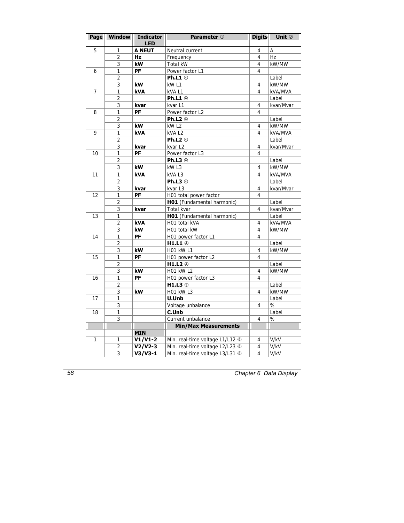| Page           | <b>Window</b>  | <b>Indicator</b><br><b>LED</b> | <b>Parameter</b> 1              | <b>Digits</b>  | Unit 2    |
|----------------|----------------|--------------------------------|---------------------------------|----------------|-----------|
| 5              | 1              | <b>A NEUT</b>                  | Neutral current                 | 4              | Α         |
|                | $\overline{2}$ | <b>Hz</b>                      | Frequency                       | $\overline{4}$ | Hz        |
|                | 3              | kW                             | Total kW                        | 4              | kW/MW     |
| 6              | 1              | PF                             | Power factor L1                 | 4              |           |
|                | $\overline{2}$ |                                | Ph.L1 $\circledcirc$            |                | Label     |
|                | 3              | kW                             | kW <sub>L1</sub>                | 4              | kW/MW     |
| $\overline{7}$ | 1              | <b>kVA</b>                     | kVA L1                          | 4              | kVA/MVA   |
|                | 2              |                                | <b>Ph.L1</b> 4                  |                | Label     |
|                | 3              | kvar                           | kvar L1                         | 4              | kvar/Mvar |
| 8              | 1              | PF                             | Power factor L2                 | $\overline{4}$ |           |
|                | $\overline{2}$ |                                | Ph.L2 4                         |                | Label     |
|                | 3              | kW                             | kW <sub>L2</sub>                | $\overline{4}$ | kW/MW     |
| 9              | 1              | kVA                            | kVAL2                           | 4              | kVA/MVA   |
|                | $\overline{2}$ |                                | Ph.L2 4                         |                | Label     |
|                | 3              | kvar                           | kvar L2                         | 4              | kvar/Mvar |
| 10             | $\overline{1}$ | PF                             | Power factor L3                 | 4              |           |
|                | 2              |                                | Ph.L3 4                         |                | Label     |
|                | 3              | kW                             | kW <sub>L3</sub>                | 4              | kW/MW     |
| 11             | $\mathbf{1}$   | <b>kVA</b>                     | kVAL3                           | 4              | kVA/MVA   |
|                | $\overline{2}$ |                                | Ph.L3 4                         |                | Label     |
|                | 3              | kvar                           | kvar L3                         | 4              | kvar/Mvar |
| 12             | 1              | PF                             | H01 total power factor          | 4              |           |
|                | 2              |                                | HO1 (Fundamental harmonic)      |                | Label     |
|                | 3              | kvar                           | Total kvar                      | 4              | kvar/Mvar |
| 13             | 1              |                                | HO1 (Fundamental harmonic)      |                | Label     |
|                | $\overline{2}$ | <b>kVA</b>                     | H01 total kVA                   | 4              | kVA/MVA   |
|                | $\overline{3}$ | kW                             | H01 total kW                    | 4              | kW/MW     |
| 14             | 1              | PF                             | H01 power factor L1             | 4              |           |
|                | $\overline{2}$ |                                | $H1.L1$ $@$                     |                | Label     |
|                | 3              | kW                             | <b>H01 kW L1</b>                | 4              | kW/MW     |
| 15             | 1              | PF                             | H01 power factor L2             | 4              |           |
|                | $\overline{2}$ |                                | H1.L2 $@$                       |                | Label     |
|                | $\overline{3}$ | kW                             | $H01$ kW L2                     | 4              | kW/MW     |
| 16             | 1              | <b>PF</b>                      | H01 power factor L3             | 4              |           |
|                | $\overline{2}$ |                                | $H1.L3$ $@$                     |                | Label     |
|                | 3              | kW                             | H01 kW L3                       | 4              | kW/MW     |
| 17             | 1              |                                | U.Unb                           |                | Label     |
|                | 3              |                                | Voltage unbalance               | 4              | %         |
| 18             | 1              |                                | C.Unb                           |                | Label     |
|                | $\overline{3}$ |                                | Current unbalance               | 4              | %         |
|                |                |                                | <b>Min/Max Measurements</b>     |                |           |
|                |                | <b>MIN</b>                     |                                 |                |           |
| 1              | 1              | $V1/V1-2$                      | Min. real-time voltage L1/L12 6 | 4              | V/kV      |
|                | $\overline{2}$ | $V2/V2-3$                      | Min. real-time voltage L2/L23 6 | 4              | V/kV      |
|                | $\overline{3}$ | $V3/V3-1$                      | Min. real-time voltage L3/L31 6 | 4              | V/kV      |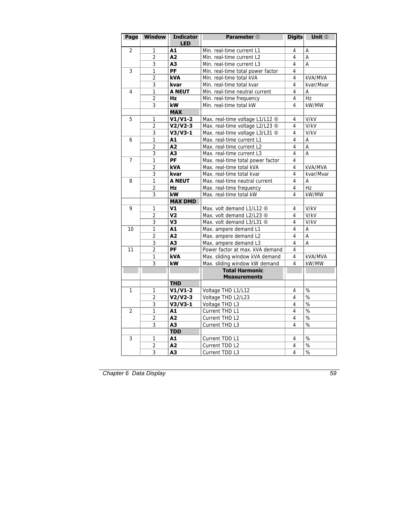| Page           | <b>Window</b>  | <b>Indicator</b> | <b>Parameter</b> 1                | <b>Digits</b> | Unit 2          |
|----------------|----------------|------------------|-----------------------------------|---------------|-----------------|
| 2              | 1              | <b>LED</b><br>A1 | Min. real-time current L1         | 4             | Α               |
|                | $\overline{2}$ | A2               | Min. real-time current L2         | 4             | А               |
|                | 3              | A3               | Min. real-time current L3         | 4             | A               |
| 3              | 1              | PF               | Min. real-time total power factor | 4             |                 |
|                | $\overline{2}$ | <b>kVA</b>       | Min. real-time total kVA          | 4             | kVA/MVA         |
|                | 3              | kvar             | Min. real-time total kvar         | 4             | kvar/Mvar       |
| 4              | $\mathbf{1}$   | <b>A NEUT</b>    | Min. real-time neutral current    | 4             | А               |
|                | 2              | Hz               | Min. real-time frequency          | 4             | Hz              |
|                | 3              | kW               | Min. real-time total kW           | 4             | kW/MW           |
|                |                | <b>MAX</b>       |                                   |               |                 |
| 5              | 1              | $V1/V1-2$        | Max. real-time voltage L1/L12 6   | 4             | V/kV            |
|                | $\overline{2}$ | $V2/V2-3$        | Max. real-time voltage L2/L23 6   | 4             | V/kV            |
|                | 3              | $V3/V3-1$        | Max. real-time voltage L3/L31 6   | 4             | V/kV            |
| 6              | 1              | A1               | Max. real-time current L1         | 4             | Α               |
|                | $\overline{2}$ | A2               | Max. real-time current L2         | 4             | A               |
|                | 3              | A3               | Max. real-time current L3         | 4             | A               |
| $\overline{7}$ | 1              | PF               | Max. real-time total power factor | 4             |                 |
|                | $\overline{2}$ | kVA              | Max. real-time total kVA          | 4             | kVA/MVA         |
|                | 3              | kvar             | Max. real-time total kvar         | 4             | kvar/Mvar       |
| 8              | $\mathbf{1}$   | <b>A NEUT</b>    | Max. real-time neutral current    | 4             | A               |
|                | $\overline{2}$ | Hz               | Max. real-time frequency          | 4             | Hz              |
|                | 3              | kW               | Max. real-time total kW           | 4             | kW/MW           |
|                |                | <b>MAX DMD</b>   |                                   |               |                 |
| 9              | 1              | V1               | Max. volt demand L1/L12 6         | 4             | V/kV            |
|                | $\overline{2}$ | V2               | Max. volt demand L2/L23 6         | 4             | V/kV            |
|                | 3              | V3               | Max. volt demand L3/L31 6         | 4             | V/kV            |
| 10             | 1              | A1               | Max. ampere demand L1             | 4             | А               |
|                | $\overline{2}$ | A2               | Max. ampere demand L2             | 4             | $\overline{A}$  |
|                | 3              | A3               | Max. ampere demand L3             | 4             | A               |
| 11             | $\overline{2}$ | PF               | Power factor at max. kVA demand   | 4             |                 |
|                | $\overline{1}$ | <b>kVA</b>       | Max. sliding window kVA demand    | 4             | kVA/MVA         |
|                | $\overline{3}$ | kW               | Max. sliding window kW demand     | 4             | kW/MW           |
|                |                |                  | <b>Total Harmonic</b>             |               |                 |
|                |                |                  | <b>Measurements</b>               |               |                 |
|                |                | <b>THD</b>       |                                   |               |                 |
| 1              | 1              | $V1/V1-2$        | Voltage THD L1/L12                | 4             | %               |
|                | 2              | $V2/V2-3$        | Voltage THD L2/L23                | 4             | %               |
|                | 3              | $V3/V3-1$        | Voltage THD L3                    | 4             | %               |
| $\overline{2}$ | $\overline{1}$ | A1               | Current THD L1                    | 4             | $\overline{\%}$ |
|                | $\overline{2}$ | A2               | Current THD L2                    | 4             | %               |
|                | 3              | A3               | Current THD L3                    | 4             | %               |
|                |                | <b>TDD</b>       |                                   |               |                 |
| 3              | 1              | A1               | Current TDD L1                    | 4             | %               |
|                | $\overline{2}$ | A2               | Current TDD L2                    | 4             | $\%$            |
|                | 3              | A3               | Current TDD L3                    | 4             | $\%$            |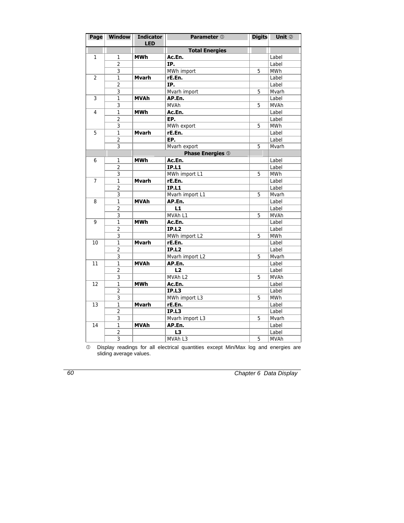| Page           | <b>Window</b>  | <b>Indicator</b><br><b>LED</b> | Parameter 1             | <b>Digits</b> | Unit 2      |
|----------------|----------------|--------------------------------|-------------------------|---------------|-------------|
|                |                |                                | <b>Total Energies</b>   |               |             |
| 1              | 1              | <b>MWh</b>                     | Ac.En.                  |               | Label       |
|                | $\overline{2}$ |                                | IP.                     |               | Label       |
|                | 3              |                                | MWh import              | 5             | <b>MWh</b>  |
| $\overline{2}$ | 1              | Mvarh                          | rE.En.                  |               | Label       |
|                | $\overline{2}$ |                                | IP.                     |               | Label       |
|                | 3              |                                | Mvarh import            | 5             | Mvarh       |
| 3              | 1              | <b>MVAh</b>                    | AP.En.                  |               | Label       |
|                | 3              |                                | <b>MVAh</b>             | 5             | <b>MVAh</b> |
| 4              | 1              | <b>MWh</b>                     | Ac.En.                  |               | Label       |
|                | $\overline{2}$ |                                | EP.                     |               | Label       |
|                | 3              |                                | MWh export              | 5             | <b>MWh</b>  |
| 5              | 1              | <b>Mvarh</b>                   | rE.En.                  |               | Label       |
|                | $\overline{2}$ |                                | EP.                     |               | Label       |
|                | 3              |                                | Mvarh export            | 5             | Mvarh       |
|                |                |                                | <b>Phase Energies ©</b> |               |             |
| 6              | 1              | <b>MWh</b>                     | Ac.En.                  |               | Label       |
|                | $\overline{2}$ |                                | <b>IP.L1</b>            |               | Label       |
|                | 3              |                                | MWh import L1           | 5             | <b>MWh</b>  |
| $\overline{7}$ | 1              | <b>Mvarh</b>                   | rE.En.                  |               | Label       |
|                | $\overline{2}$ |                                | <b>IP.L1</b>            |               | Label       |
|                | 3              |                                | Mvarh import L1         | 5             | Mvarh       |
| 8              | $\mathbf{1}$   | <b>MVAh</b>                    | AP.En.                  |               | Label       |
|                | $\overline{2}$ |                                | L1                      |               | Label       |
|                | 3              |                                | MVAh L1                 | 5             | <b>MVAh</b> |
| 9              | 1              | <b>MWh</b>                     | Ac.En.                  |               | Label       |
|                | $\overline{2}$ |                                | <b>IP.L2</b>            |               | Label       |
|                | 3              |                                | MWh import L2           | 5             | MWh         |
| 10             | $\mathbf{1}$   | <b>Mvarh</b>                   | rE.En.                  |               | Label       |
|                | $\overline{2}$ |                                | <b>IP.L2</b>            |               | Label       |
|                | 3              |                                | Mvarh import L2         | 5             | Mvarh       |
| 11             | 1              | <b>MVAh</b>                    | AP.En.                  |               | Label       |
|                | $\overline{2}$ |                                | L2                      |               | Label       |
|                | 3              |                                | MVAh L2                 | 5             | <b>MVAh</b> |
| 12             | 1              | <b>MWh</b>                     | Ac.En.                  |               | Label       |
|                | $\overline{2}$ |                                | <b>IP.L3</b>            |               | Label       |
|                | 3              |                                | MWh import L3           | 5             | <b>MWh</b>  |
| 13             | 1              | <b>Mvarh</b>                   | rE.En.                  |               | Label       |
|                | $\overline{2}$ |                                | <b>IP.L3</b>            |               | Label       |
|                | 3              |                                | Mvarh import L3         | 5             | Mvarh       |
| 14             | 1              | <b>MVAh</b>                    | AP.En.                  |               | Label       |
|                | $\overline{2}$ |                                | L3                      |               | Label       |
|                | 3              |                                | MVAh L3                 | 5             | <b>MVAh</b> |

 $\heartsuit$  Display readings for all electrical quantities except Min/Max log and energies are sliding average values.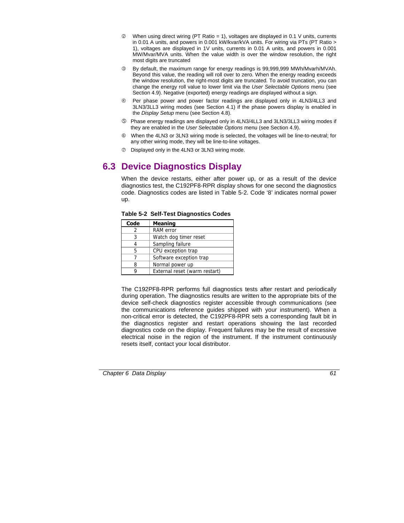- $Q$  When using direct wiring (PT Ratio = 1), voltages are displayed in 0.1 V units, currents in 0.01 A units, and powers in 0.001 kW/kvar/kVA units. For wiring via PTs (PT Ratio > 1), voltages are displayed in 1V units, currents in 0.01 A units, and powers in 0.001 MW/Mvar/MVA units. When the value width is over the window resolution, the right most digits are truncated
- e By default, the maximum range for energy readings is 99,999,999 MWh/Mvarh/MVAh. Beyond this value, the reading will roll over to zero. When the energy reading exceeds the window resolution, the right-most digits are truncated. To avoid truncation, you can change the energy roll value to lower limit via the *User Selectable Options* menu (see Section 4.9). Negative (exported) energy readings are displayed without a sign.
- f Per phase power and power factor readings are displayed only in 4LN3/4LL3 and 3LN3/3LL3 wiring modes (see Section 4.1) if the phase powers display is enabled in the *Display Setup* menu (see Section 4.8).
- g Phase energy readings are displayed only in 4LN3/4LL3 and 3LN3/3LL3 wiring modes if they are enabled in the *User Selectable Options* menu (see Section 4.9).
- $\circledR$  When the 4LN3 or 3LN3 wiring mode is selected, the voltages will be line-to-neutral; for any other wiring mode, they will be line-to-line voltages.
- $\oslash$  Displayed only in the 4LN3 or 3LN3 wiring mode.

# **6.3 Device Diagnostics Display**

When the device restarts, either after power up, or as a result of the device diagnostics test, the C192PF8-RPR display shows for one second the diagnostics code. Diagnostics codes are listed in Table 5-2. Code '8' indicates normal power up.

| Code | <b>Meaning</b>                |  |
|------|-------------------------------|--|
|      | <b>RAM</b> error              |  |
| 3    | Watch dog timer reset         |  |
|      | Sampling failure              |  |
| 5    | CPU exception trap            |  |
|      | Software exception trap       |  |
|      | Normal power up               |  |
|      | External reset (warm restart) |  |

|  |  | <b>Table 5-2 Self-Test Diagnostics Codes</b> |  |
|--|--|----------------------------------------------|--|
|--|--|----------------------------------------------|--|

The C192PF8-RPR performs full diagnostics tests after restart and periodically during operation. The diagnostics results are written to the appropriate bits of the device self-check diagnostics register accessible through communications (see the communications reference guides shipped with your instrument). When a non-critical error is detected, the C192PF8-RPR sets a corresponding fault bit in the diagnostics register and restart operations showing the last recorded diagnostics code on the display. Frequent failures may be the result of excessive electrical noise in the region of the instrument. If the instrument continuously resets itself, contact your local distributor.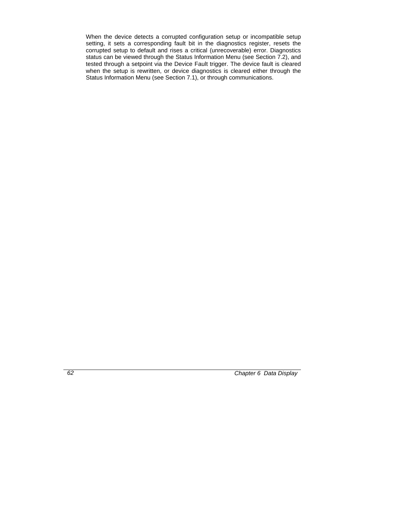When the device detects a corrupted configuration setup or incompatible setup setting, it sets a corresponding fault bit in the diagnostics register, resets the corrupted setup to default and rises a critical (unrecoverable) error. Diagnostics status can be viewed through the Status Information Menu (see Section 7.2), and tested through a setpoint via the Device Fault trigger. The device fault is cleared when the setup is rewritten, or device diagnostics is cleared either through the Status Information Menu (see Section 7.1), or through communications.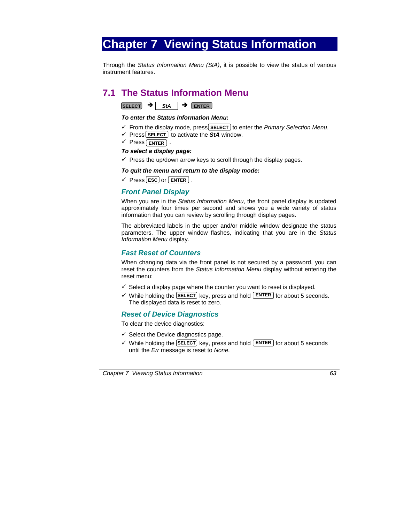# **Chapter 7 Viewing Status Information**

Through the *Status Information Menu (StA)*, it is possible to view the status of various instrument features.

# **7.1 The Status Information Menu**

**SELECT** → StA → ENTER

#### *To enter the Status Information Menu***:**

- $\checkmark$  From the display mode, press **SELECT** to enter the *Primary Selection Menu*.
- $\checkmark$  Press **SELECT** to activate the **StA** window.
- $\checkmark$  Press **ENTER** .

#### *To select a display page:*

 $\checkmark$  Press the up/down arrow keys to scroll through the display pages.

#### *To quit the menu and return to the display mode:*

 $\checkmark$  Press **ESC** or **ENTER** .

## *Front Panel Display*

When you are in the *Status Information Menu*, the front panel display is updated approximately four times per second and shows you a wide variety of status information that you can review by scrolling through display pages.

The abbreviated labels in the upper and/or middle window designate the status parameters. The upper window flashes, indicating that you are in the *Status Information Menu* display.

## *Fast Reset of Counters*

When changing data via the front panel is not secured by a password, you can reset the counters from the *Status Information Menu* display without entering the reset menu:

- $\checkmark$  Select a display page where the counter you want to reset is displayed.
- $\checkmark$  While holding the **SELECT** key, press and hold **ENTER** for about 5 seconds. The displayed data is reset to zero.

## *Reset of Device Diagnostics*

To clear the device diagnostics:

- $\checkmark$  Select the Device diagnostics page.
- $\checkmark$  While holding the **SELECT** key, press and hold **ENTER** for about 5 seconds until the *Err* message is reset to *None*.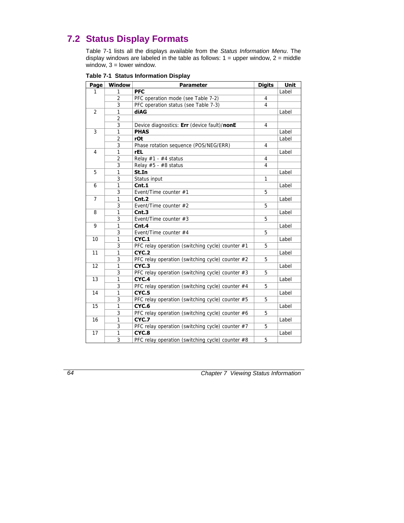# **7.2 Status Display Formats**

Table 7-1 lists all the displays available from the *Status Information Menu*. The display windows are labeled in the table as follows:  $1 =$  upper window,  $2 =$  middle window,  $3 =$  lower window.

| Page           | Window         | <b>Parameter</b>                                 | <b>Digits</b> | <b>Unit</b> |
|----------------|----------------|--------------------------------------------------|---------------|-------------|
| 1              | 1              | <b>PFC</b>                                       |               | Label       |
|                | 2              | PFC operation mode (see Table 7-2)               | 4             |             |
|                | 3              | PFC operation status (see Table 7-3)             | 4             |             |
| $\overline{2}$ | 1              | diAG                                             |               | Label       |
|                | $\overline{a}$ |                                                  |               |             |
|                | 3              | Device diagnostics: Err (device fault)/nonE      | 4             |             |
| 3              | 1              | <b>PHAS</b>                                      |               | Label       |
|                | $\overline{2}$ | rOt                                              |               | Label       |
|                | 3              | Phase rotation sequence (POS/NEG/ERR)            | 4             |             |
| 4              | 1              | <b>rEL</b>                                       |               | Label       |
|                | $\overline{2}$ | Relay $#1 - #4$ status                           | 4             |             |
|                | 3              | Relay $#5 - #8$ status                           | 4             |             |
| 5              | 1              | St.In                                            |               | Label       |
|                | 3              | Status input                                     | $\mathbf{1}$  |             |
| 6              | 1              | Cnt.1                                            |               | Label       |
|                | 3              | Event/Time counter #1                            | 5             |             |
| $\overline{7}$ | $\mathbf{1}$   | Cnt.2                                            |               | Label       |
|                | 3              | Event/Time counter #2                            | 5             |             |
| 8              | 1              | Cnt.3                                            |               | Label       |
|                | 3              | Event/Time counter #3                            | 5             |             |
| 9              | 1              | Cnt.4                                            |               | Label       |
|                | 3              | Event/Time counter #4                            | 5             |             |
| 10             | 1              | CYC.1                                            |               | Label       |
|                | 3              | PFC relay operation (switching cycle) counter #1 | 5             |             |
| 11             | 1              | CYC.2                                            |               | Label       |
|                | 3              | PFC relay operation (switching cycle) counter #2 | 5             |             |
| 12             | $\mathbf{1}$   | CYC.3                                            |               | Label       |
|                | 3              | PFC relay operation (switching cycle) counter #3 | 5             |             |
| 13             | $\mathbf{1}$   | CYC.4                                            |               | Label       |
|                | 3              | PFC relay operation (switching cycle) counter #4 | 5             |             |
| 14             | 1              | CYC.5                                            |               | Label       |
|                | 3              | PFC relay operation (switching cycle) counter #5 | 5             |             |
| 15             | 1              | CYC.6                                            |               | Label       |
|                | 3              | PFC relay operation (switching cycle) counter #6 | 5             |             |
| 16             | 1              | CYC.7                                            |               | Label       |
|                | 3              | PFC relay operation (switching cycle) counter #7 | 5             |             |
| 17             | 1              | CYC.8                                            |               | Label       |
|                | 3              | PFC relay operation (switching cycle) counter #8 | 5             |             |

#### **Table 7-1 Status Information Display**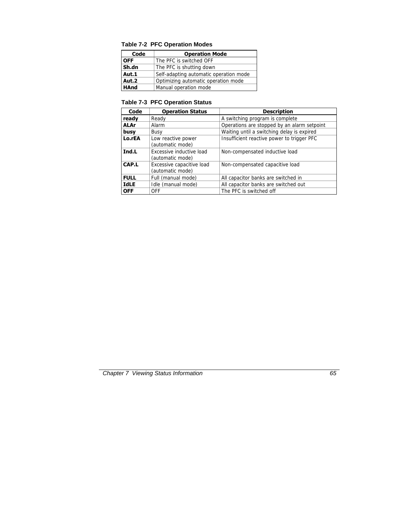| Code        | <b>Operation Mode</b>                  |
|-------------|----------------------------------------|
| <b>OFF</b>  | The PFC is switched OFF                |
| Sh.dn       | The PFC is shutting down               |
| Aut.1       | Self-adapting automatic operation mode |
| Aut.2       | Optimizing automatic operation mode    |
| <b>HAnd</b> | Manual operation mode                  |

## **Table 7-2 PFC Operation Modes**

## **Table 7-3 PFC Operation Status**

| Code        | <b>Operation Status</b>                       | <b>Description</b>                          |
|-------------|-----------------------------------------------|---------------------------------------------|
| ready       | Ready                                         | A switching program is complete             |
| <b>ALAr</b> | Alarm                                         | Operations are stopped by an alarm setpoint |
| busy        | Busy                                          | Waiting until a switching delay is expired  |
| Lo.rEA      | Low reactive power<br>(automatic mode)        | Insufficient reactive power to trigger PFC  |
| Ind.L       | Excessive inductive load<br>(automatic mode)  | Non-compensated inductive load              |
| CAP.L       | Excessive capacitive load<br>(automatic mode) | Non-compensated capacitive load             |
| <b>FULL</b> | Full (manual mode)                            | All capacitor banks are switched in         |
| <b>IdLE</b> | Idle (manual mode)                            | All capacitor banks are switched out        |
| <b>OFF</b>  | <b>OFF</b>                                    | The PFC is switched off                     |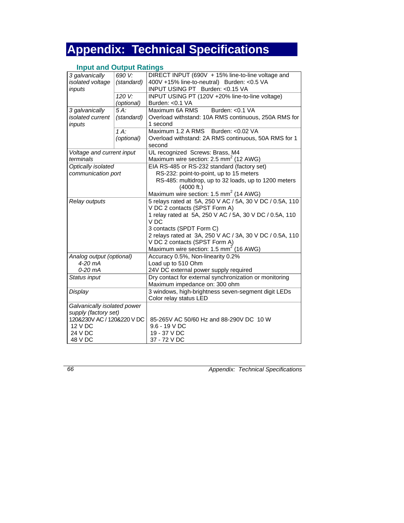# **Appendix: Technical Specifications**

## **Input and Output Ratings**

| 3 galvanically              | 690 V:     | DIRECT INPUT (690V + 15% line-to-line voltage and        |
|-----------------------------|------------|----------------------------------------------------------|
| isolated voltage            | (standard) | 400V +15% line-to-neutral) Burden: <0.5 VA               |
| inputs                      |            | INPUT USING PT Burden: < 0.15 VA                         |
|                             | 120 V:     | INPUT USING PT (120V +20% line-to-line voltage)          |
|                             | (optional) | Burden: < 0.1 VA                                         |
| 3 galvanically              | $5A$ :     | Maximum 6A RMS<br>Burden: < 0.1 VA                       |
| isolated current            | (standard) | Overload withstand: 10A RMS continuous, 250A RMS for     |
| inputs                      |            | 1 second                                                 |
|                             | $1A$ :     | Maximum 1.2 A RMS<br>Burden: < 0.02 VA                   |
|                             | (optional) | Overload withstand: 2A RMS continuous, 50A RMS for 1     |
|                             |            | second                                                   |
| Voltage and current input   |            | UL recognized Screws: Brass, M4                          |
| terminals                   |            | Maximum wire section: 2.5 mm <sup>2</sup> (12 AWG)       |
| Optically isolated          |            | EIA RS-485 or RS-232 standard (factory set)              |
| communication port          |            | RS-232: point-to-point, up to 15 meters                  |
|                             |            | RS-485: multidrop, up to 32 loads, up to 1200 meters     |
|                             |            | (4000 ft.)                                               |
|                             |            | Maximum wire section: 1.5 mm <sup>2</sup> (14 AWG)       |
| Relay outputs               |            | 5 relays rated at 5A, 250 V AC / 5A, 30 V DC / 0.5A, 110 |
|                             |            | V DC 2 contacts (SPST Form A)                            |
|                             |            | 1 relay rated at 5A, 250 V AC / 5A, 30 V DC / 0.5A, 110  |
|                             |            | V <sub>DC</sub>                                          |
|                             |            | 3 contacts (SPDT Form C)                                 |
|                             |            | 2 relays rated at 3A, 250 V AC / 3A, 30 V DC / 0.5A, 110 |
|                             |            | V DC 2 contacts (SPST Form A)                            |
|                             |            | Maximum wire section: 1.5 mm <sup>2</sup> (16 AWG)       |
|                             |            |                                                          |
| Analog output (optional)    |            | Accuracy 0.5%, Non-linearity 0.2%                        |
| 4-20 mA                     |            | Load up to 510 Ohm                                       |
| $0-20$ mA                   |            | 24V DC external power supply required                    |
| Status input                |            | Dry contact for external synchronization or monitoring   |
|                             |            | Maximum impedance on: 300 ohm                            |
| Display                     |            | 3 windows, high-brightness seven-segment digit LEDs      |
|                             |            | Color relay status LED                                   |
| Galvanically isolated power |            |                                                          |
| supply (factory set)        |            |                                                          |
| 120&230V AC / 120&220 V DC  |            | 85-265V AC 50/60 Hz and 88-290V DC 10 W                  |
| 12 V DC                     |            | 9.6 - 19 V DC                                            |
| 24 V DC                     |            | 19 - 37 V DC                                             |
| 48 V DC                     |            | 37 - 72 V DC                                             |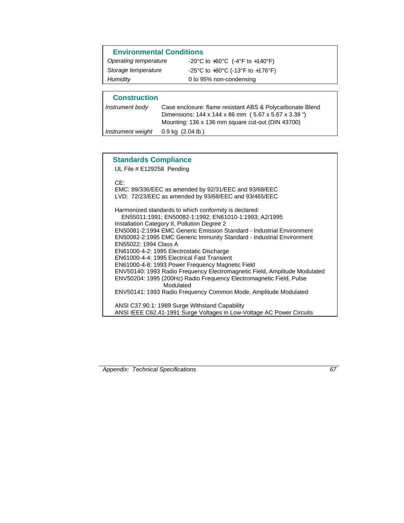| <b>Environmental Conditions</b> |                                    |  |
|---------------------------------|------------------------------------|--|
| Operating temperature           | -20°C to +60°C $(-4°F)$ to +140°F) |  |
| Storage temperature             | -25°C to +80°C (-13°F to +176°F)   |  |
| Humidity                        | 0 to 95% non-condensing            |  |
|                                 |                                    |  |
|                                 |                                    |  |

## **Construction**

| Dimensions: 144 x 144 x 86 mm (5.67 x 5.67 x 3.39 ")<br>Mounting: 136 x 136 mm square cut-out (DIN 43700) |
|-----------------------------------------------------------------------------------------------------------|
|                                                                                                           |
|                                                                                                           |

## **Standards Compliance**

UL File # E129258 Pending

CE:

EMC: 89/336/EEC as amended by 92/31/EEC and 93/68/EEC LVD: 72/23/EEC as amended by 93/68/EEC and 93/465/EEC

Harmonized standards to which conformity is declared: EN55011:1991; EN50082-1:1992; EN61010-1:1993; A2/1995 Installation Category II, Pollution Degree 2 EN50081-2:1994 EMC Generic Emission Standard - Industrial Environment EN50082-2:1995 EMC Generic Immunity Standard - Industrial Environment EN55022: 1994 Class A EN61000-4-2: 1995 Electrostatic Discharge EN61000-4-4: 1995 Electrical Fast Transient EN61000-4-8: 1993 Power Frequency Magnetic Field ENV50140: 1993 Radio Frequency Electromagnetic Field, Amplitude Modulated ENV50204: 1995 (200Hz) Radio Frequency Electromagnetic Field, Pulse Modulated ENV50141: 1993 Radio Frequency Common Mode, Amplitude Modulated ANSI C37.90.1: 1989 Surge Withstand Capability

ANSI IEEE C62.41-1991 Surge Voltages in Low-Voltage AC Power Circuits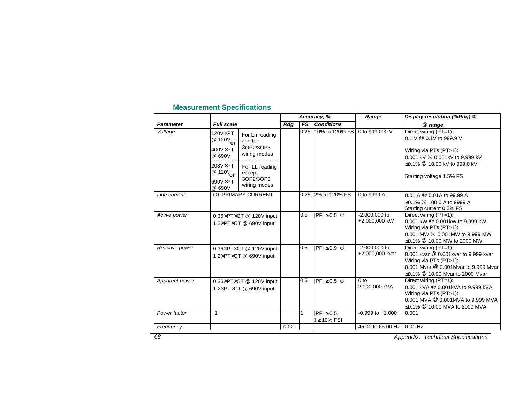## **Measurement Specifications**

|                  | <b>Full scale</b>                                                        |                                                        | Accuracy, % |           |                                       | Range                              | Display resolution (%Rdg) 2                                                                                                                                                   |
|------------------|--------------------------------------------------------------------------|--------------------------------------------------------|-------------|-----------|---------------------------------------|------------------------------------|-------------------------------------------------------------------------------------------------------------------------------------------------------------------------------|
| <b>Parameter</b> |                                                                          |                                                        | Rdg         | <b>FS</b> | <b>Conditions</b>                     |                                    | @ range                                                                                                                                                                       |
| Voltage          | 120VXPT<br>$\overset{12}{\circ}$ 120V <sub>or</sub><br>400V×PT<br>@ 690V | For Ln reading<br>and for<br>3OP2/3OP3<br>wiring modes |             | 0.25      | 10% to 120% FS                        | 0 to 999,000 V                     | Direct wiring (PT=1):<br>0.1 V $@$ 0.1V to 999.9 V<br>Wiring via PTs (PT>1):<br>0.001 kV @ 0.001kV to 9.999 kV                                                                |
|                  | 208V×PT<br>@ $120V_{\text{or}}$<br>690V×PT<br>@ 690V                     | For LL reading<br>except<br>3OP2/3OP3<br>wiring modes  |             |           |                                       |                                    | ≤0.1% <sup>@</sup> 10.00 kV to 999.0 kV<br>Starting voltage 1.5% FS                                                                                                           |
| Line current     |                                                                          | <b>CT PRIMARY CURRENT</b>                              |             | 0.25      | 2% to 120% FS                         | 0 to 9999 A                        | $0.01 A @ 0.01A$ to 99.99 A<br>≤0.1% <sup>@</sup> 100.0 A to 9999 A<br>Starting current 0.5% FS                                                                               |
| Active power     | 0.36×PT×CT @ 120V input<br>1.2×PT×CT @ 690V input                        |                                                        |             | 0.5       | $ PF  \ge 0.5$ 0                      | $-2,000,000$ to<br>+2,000,000 kW   | Direct wiring (PT=1):<br>0.001 kW @ 0.001kW to 9.999 kW<br>Wiring via PTs (PT>1):<br>0.001 MW @ 0.001MW to 9.999 MW<br>≤0.1% <sup>@</sup> 10.00 MW to 2000 MW                 |
| Reactive power   | 0.36×PT×CT @ 120V input<br>1.2×PT×CT @ 690V input                        |                                                        |             | 0.5       | $ PF  \leq 0.9$ 0                     | $-2.000.000$ to<br>+2,000,000 kvar | Direct wiring (PT=1):<br>0.001 kvar @ 0.001kvar to 9.999 kvar<br>Wiring via PTs (PT>1):<br>0.001 Mvar @ 0.001Mvar to 9.999 Mvar<br>≤0.1% <sup>@</sup> 10.00 Mvar to 2000 Mvar |
| Apparent power   | 0.36×PT×CT @ 120V input<br>1.2×PT×CT @ 690V input                        |                                                        |             | 0.5       | $ PF  \geq 0.5$ 0                     | 0 <sub>to</sub><br>2,000,000 kVA   | Direct wiring (PT=1):<br>0.001 kVA @ 0.001kVA to 9.999 kVA<br>Wiring via PTs (PT>1):<br>0.001 MVA @ 0.001MVA to 9.999 MVA<br>≤0.1% <sup>@</sup> 10.00 MVA to 2000 MVA         |
| Power factor     | $\mathbf{1}$                                                             |                                                        |             |           | $ PF  \ge 0.5$ ,<br>$I \geq 10\%$ FSI | $-0.999$ to $+1.000$               | 0.001                                                                                                                                                                         |
| Frequency        |                                                                          |                                                        | 0.02        |           |                                       | 45.00 to 65.00 Hz 0.01 Hz          |                                                                                                                                                                               |

*Appendix: Technical Specifications*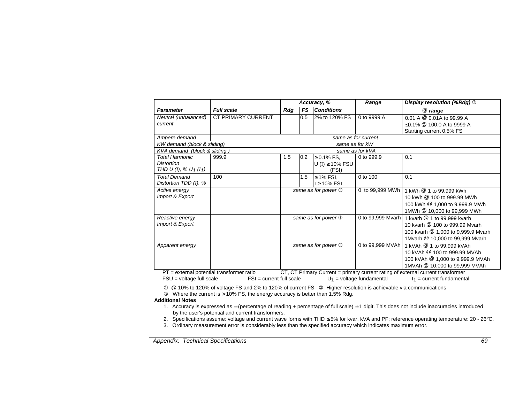|                                               |                    | Accuracy, %                                                                    |     | Range                | Display resolution (%Rdg) 2 |                                      |  |  |
|-----------------------------------------------|--------------------|--------------------------------------------------------------------------------|-----|----------------------|-----------------------------|--------------------------------------|--|--|
| <b>Parameter</b>                              | <b>Full scale</b>  | Rdg                                                                            | FS  | <b>Conditions</b>    |                             | @ range                              |  |  |
| Neutral (unbalanced)                          | CT PRIMARY CURRENT |                                                                                | 0.5 | 2% to 120% FS        | 0 to 9999 A                 | $0.01$ A $@$ 0.01A to 99.99 A        |  |  |
| current                                       |                    |                                                                                |     |                      |                             | ≤0.1% <sup>@</sup> 100.0 A to 9999 A |  |  |
|                                               |                    |                                                                                |     |                      |                             | Starting current 0.5% FS             |  |  |
| Ampere demand                                 |                    |                                                                                |     | same as for current  |                             |                                      |  |  |
| KW demand (block & sliding)                   |                    | same as for kW                                                                 |     |                      |                             |                                      |  |  |
| KVA demand (block & sliding)                  |                    |                                                                                |     | same as for kVA      |                             |                                      |  |  |
| <b>Total Harmonic</b>                         | 999.9              | 1.5                                                                            | 0.2 | $\geq 0.1\%$ FS.     | 0 to 999.9                  | 0.1                                  |  |  |
| <b>Distortion</b>                             |                    |                                                                                |     | U (I) $\geq$ 10% FSU |                             |                                      |  |  |
| THD U (1), % U <sub>1</sub> (1 <sub>1</sub> ) |                    |                                                                                |     | (FSI)                |                             |                                      |  |  |
| <b>Total Demand</b>                           | 100                |                                                                                | 1.5 | $\geq$ 1% FSI,       | 0 to 100                    | 0.1                                  |  |  |
| Distortion TDD (1), %                         |                    |                                                                                |     | $I \geq 10\%$ FSI    |                             |                                      |  |  |
| Active energy                                 |                    | same as for power 3                                                            |     |                      | 0 to 99,999 MWh             | 1 kWh @ 1 to 99,999 kWh              |  |  |
| Import & Export                               |                    |                                                                                |     |                      |                             | 10 kWh @ 100 to 999.99 MWh           |  |  |
|                                               |                    |                                                                                |     |                      |                             | 100 kWh @ 1,000 to 9,999.9 MWh       |  |  |
|                                               |                    |                                                                                |     |                      |                             | 1MWh @ 10,000 to 99,999 MWh          |  |  |
| Reactive energy                               |                    | same as for power 3                                                            |     |                      | 0 to 99,999 Mvarh           | 1 kvarh @ 1 to 99,999 kvarh          |  |  |
| Import & Export                               |                    |                                                                                |     |                      |                             | 10 kvarh @ 100 to 999.99 Mvarh       |  |  |
|                                               |                    |                                                                                |     |                      |                             | 100 kvarh @ 1,000 to 9,999.9 Mvarh   |  |  |
|                                               |                    |                                                                                |     |                      |                             | 1Mvarh @ 10,000 to 99,999 Mvarh      |  |  |
| Apparent energy                               |                    | same as for power 3                                                            |     |                      | 0 to 99,999 MVAh            | 1 kVAh @ 1 to 99,999 kVAh            |  |  |
|                                               |                    |                                                                                |     |                      |                             | 10 kVAh @ 100 to 999.99 MVAh         |  |  |
|                                               |                    |                                                                                |     |                      |                             | 100 kVAh @ 1,000 to 9,999.9 MVAh     |  |  |
|                                               |                    |                                                                                |     |                      |                             | 1MVAh @ 10,000 to 99,999 MVAh        |  |  |
| PT - external notential transformer ratio     |                    | CT CT Primary Current - primary current ration of external current transformer |     |                      |                             |                                      |  |  |

PT = external potential transformer ratio CT, CT Primary Current = primary current rating of external current transformer FSU = voltage full scale  $FSI$  = current full scale  $U_1$  = voltage fundamental  $I_1$  = current fundamental

 $\textcircled{\tiny{10}}$  @ 10% to 120% of voltage FS and 2% to 120% of current FS  $\textcircled{\tiny{2}}$  Higher resolution is achievable via communications

 $\circled{ }$  Where the current is > 10% FS, the energy accuracy is better than 1.5% Rdg.

#### **Additional Notes**

- 1. Accuracy is expressed as  $\pm$  (percentage of reading + percentage of full scale)  $\pm$  1 digit. This does not include inaccuracies introduced by the user's potential and current transformers.
- 2. Specifications assume: voltage and current wave forms with THD ≤ 5% for kvar, kVA and PF; reference operating temperature: 20 26°C.
- 3. Ordinary measurement error is considerably less than the specified accuracy which indicates maximum error.